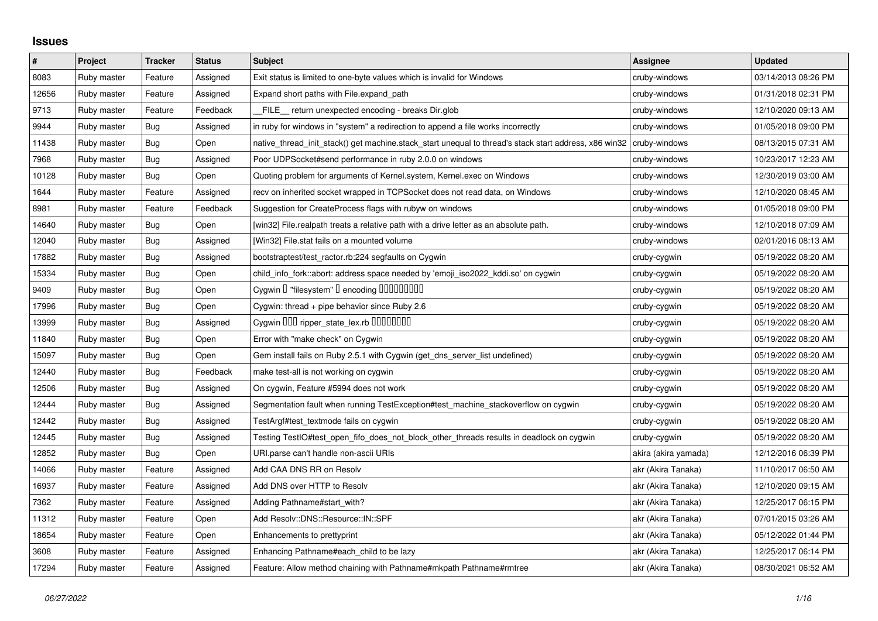## **Issues**

| $\#$  | Project     | <b>Tracker</b> | <b>Status</b> | <b>Subject</b>                                                                                        | <b>Assignee</b>      | <b>Updated</b>      |
|-------|-------------|----------------|---------------|-------------------------------------------------------------------------------------------------------|----------------------|---------------------|
| 8083  | Ruby master | Feature        | Assigned      | Exit status is limited to one-byte values which is invalid for Windows                                | cruby-windows        | 03/14/2013 08:26 PM |
| 12656 | Ruby master | Feature        | Assigned      | Expand short paths with File.expand_path                                                              | cruby-windows        | 01/31/2018 02:31 PM |
| 9713  | Ruby master | Feature        | Feedback      | FILE_ return unexpected encoding - breaks Dir.glob                                                    | cruby-windows        | 12/10/2020 09:13 AM |
| 9944  | Ruby master | <b>Bug</b>     | Assigned      | in ruby for windows in "system" a redirection to append a file works incorrectly                      | cruby-windows        | 01/05/2018 09:00 PM |
| 11438 | Ruby master | <b>Bug</b>     | Open          | native thread init stack() get machine.stack start unequal to thread's stack start address, x86 win32 | cruby-windows        | 08/13/2015 07:31 AM |
| 7968  | Ruby master | <b>Bug</b>     | Assigned      | Poor UDPSocket#send performance in ruby 2.0.0 on windows                                              | cruby-windows        | 10/23/2017 12:23 AM |
| 10128 | Ruby master | Bug            | Open          | Quoting problem for arguments of Kernel.system, Kernel.exec on Windows                                | cruby-windows        | 12/30/2019 03:00 AM |
| 1644  | Ruby master | Feature        | Assigned      | recv on inherited socket wrapped in TCPSocket does not read data, on Windows                          | cruby-windows        | 12/10/2020 08:45 AM |
| 8981  | Ruby master | Feature        | Feedback      | Suggestion for CreateProcess flags with rubyw on windows                                              | cruby-windows        | 01/05/2018 09:00 PM |
| 14640 | Ruby master | <b>Bug</b>     | Open          | [win32] File.realpath treats a relative path with a drive letter as an absolute path.                 | cruby-windows        | 12/10/2018 07:09 AM |
| 12040 | Ruby master | <b>Bug</b>     | Assigned      | [Win32] File.stat fails on a mounted volume                                                           | cruby-windows        | 02/01/2016 08:13 AM |
| 17882 | Ruby master | <b>Bug</b>     | Assigned      | bootstraptest/test_ractor.rb:224 segfaults on Cygwin                                                  | cruby-cygwin         | 05/19/2022 08:20 AM |
| 15334 | Ruby master | Bug            | Open          | child_info_fork::abort: address space needed by 'emoji_iso2022_kddi.so' on cygwin                     | cruby-cygwin         | 05/19/2022 08:20 AM |
| 9409  | Ruby master | <b>Bug</b>     | Open          | Cygwin I "filesystem" I encoding IIIIIIIIIIIII                                                        | cruby-cygwin         | 05/19/2022 08:20 AM |
| 17996 | Ruby master | <b>Bug</b>     | Open          | Cygwin: thread + pipe behavior since Ruby 2.6                                                         | cruby-cygwin         | 05/19/2022 08:20 AM |
| 13999 | Ruby master | Bug            | Assigned      | Cygwin OOO ripper_state_lex.rb 0000000                                                                | cruby-cygwin         | 05/19/2022 08:20 AM |
| 11840 | Ruby master | Bug            | Open          | Error with "make check" on Cygwin                                                                     | cruby-cygwin         | 05/19/2022 08:20 AM |
| 15097 | Ruby master | <b>Bug</b>     | Open          | Gem install fails on Ruby 2.5.1 with Cygwin (get_dns_server_list undefined)                           | cruby-cygwin         | 05/19/2022 08:20 AM |
| 12440 | Ruby master | <b>Bug</b>     | Feedback      | make test-all is not working on cygwin                                                                | cruby-cygwin         | 05/19/2022 08:20 AM |
| 12506 | Ruby master | Bug            | Assigned      | On cygwin, Feature #5994 does not work                                                                | cruby-cygwin         | 05/19/2022 08:20 AM |
| 12444 | Ruby master | <b>Bug</b>     | Assigned      | Segmentation fault when running TestException#test_machine_stackoverflow on cygwin                    | cruby-cygwin         | 05/19/2022 08:20 AM |
| 12442 | Ruby master | <b>Bug</b>     | Assigned      | TestArgf#test_textmode fails on cygwin                                                                | cruby-cygwin         | 05/19/2022 08:20 AM |
| 12445 | Ruby master | Bug            | Assigned      | Testing TestIO#test open fifo does not block other threads results in deadlock on cygwin              | cruby-cygwin         | 05/19/2022 08:20 AM |
| 12852 | Ruby master | <b>Bug</b>     | Open          | URI.parse can't handle non-ascii URIs                                                                 | akira (akira yamada) | 12/12/2016 06:39 PM |
| 14066 | Ruby master | Feature        | Assigned      | Add CAA DNS RR on Resolv                                                                              | akr (Akira Tanaka)   | 11/10/2017 06:50 AM |
| 16937 | Ruby master | Feature        | Assigned      | Add DNS over HTTP to Resolv                                                                           | akr (Akira Tanaka)   | 12/10/2020 09:15 AM |
| 7362  | Ruby master | Feature        | Assigned      | Adding Pathname#start_with?                                                                           | akr (Akira Tanaka)   | 12/25/2017 06:15 PM |
| 11312 | Ruby master | Feature        | Open          | Add Resolv::DNS::Resource::IN::SPF                                                                    | akr (Akira Tanaka)   | 07/01/2015 03:26 AM |
| 18654 | Ruby master | Feature        | Open          | Enhancements to prettyprint                                                                           | akr (Akira Tanaka)   | 05/12/2022 01:44 PM |
| 3608  | Ruby master | Feature        | Assigned      | Enhancing Pathname#each_child to be lazy                                                              | akr (Akira Tanaka)   | 12/25/2017 06:14 PM |
| 17294 | Ruby master | Feature        | Assigned      | Feature: Allow method chaining with Pathname#mkpath Pathname#rmtree                                   | akr (Akira Tanaka)   | 08/30/2021 06:52 AM |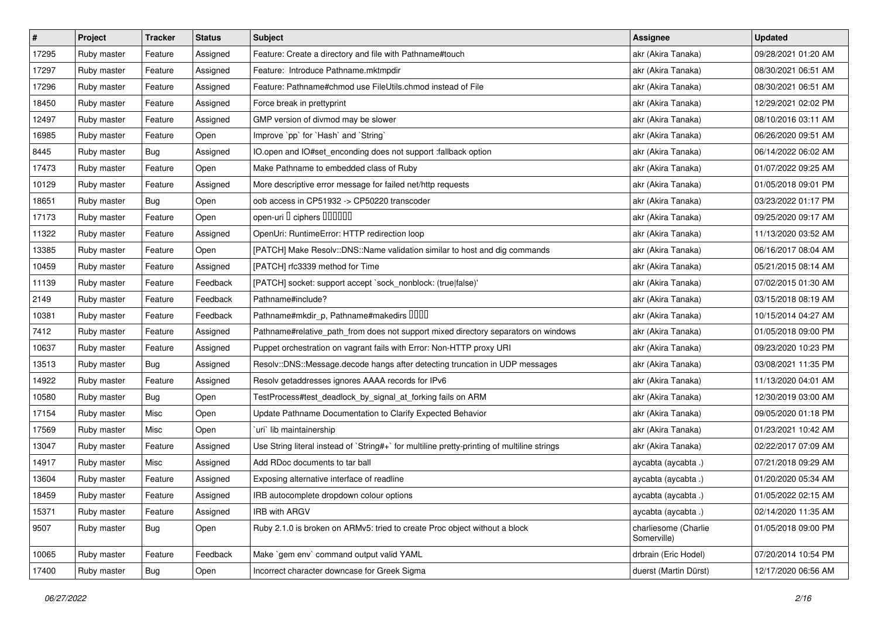| $\sharp$ | Project     | <b>Tracker</b> | <b>Status</b> | <b>Subject</b>                                                                              | <b>Assignee</b>                     | <b>Updated</b>      |
|----------|-------------|----------------|---------------|---------------------------------------------------------------------------------------------|-------------------------------------|---------------------|
| 17295    | Ruby master | Feature        | Assigned      | Feature: Create a directory and file with Pathname#touch                                    | akr (Akira Tanaka)                  | 09/28/2021 01:20 AM |
| 17297    | Ruby master | Feature        | Assigned      | Feature: Introduce Pathname.mktmpdir                                                        | akr (Akira Tanaka)                  | 08/30/2021 06:51 AM |
| 17296    | Ruby master | Feature        | Assigned      | Feature: Pathname#chmod use FileUtils.chmod instead of File                                 | akr (Akira Tanaka)                  | 08/30/2021 06:51 AM |
| 18450    | Ruby master | Feature        | Assigned      | Force break in prettyprint                                                                  | akr (Akira Tanaka)                  | 12/29/2021 02:02 PM |
| 12497    | Ruby master | Feature        | Assigned      | GMP version of divmod may be slower                                                         | akr (Akira Tanaka)                  | 08/10/2016 03:11 AM |
| 16985    | Ruby master | Feature        | Open          | Improve `pp` for `Hash` and `String`                                                        | akr (Akira Tanaka)                  | 06/26/2020 09:51 AM |
| 8445     | Ruby master | <b>Bug</b>     | Assigned      | IO.open and IO#set_enconding does not support :fallback option                              | akr (Akira Tanaka)                  | 06/14/2022 06:02 AM |
| 17473    | Ruby master | Feature        | Open          | Make Pathname to embedded class of Ruby                                                     | akr (Akira Tanaka)                  | 01/07/2022 09:25 AM |
| 10129    | Ruby master | Feature        | Assigned      | More descriptive error message for failed net/http requests                                 | akr (Akira Tanaka)                  | 01/05/2018 09:01 PM |
| 18651    | Ruby master | <b>Bug</b>     | Open          | oob access in CP51932 -> CP50220 transcoder                                                 | akr (Akira Tanaka)                  | 03/23/2022 01:17 PM |
| 17173    | Ruby master | Feature        | Open          | open-uri D ciphers DODOOD                                                                   | akr (Akira Tanaka)                  | 09/25/2020 09:17 AM |
| 11322    | Ruby master | Feature        | Assigned      | OpenUri: RuntimeError: HTTP redirection loop                                                | akr (Akira Tanaka)                  | 11/13/2020 03:52 AM |
| 13385    | Ruby master | Feature        | Open          | [PATCH] Make Resolv::DNS::Name validation similar to host and dig commands                  | akr (Akira Tanaka)                  | 06/16/2017 08:04 AM |
| 10459    | Ruby master | Feature        | Assigned      | [PATCH] rfc3339 method for Time                                                             | akr (Akira Tanaka)                  | 05/21/2015 08:14 AM |
| 11139    | Ruby master | Feature        | Feedback      | [PATCH] socket: support accept `sock_nonblock: (true false)'                                | akr (Akira Tanaka)                  | 07/02/2015 01:30 AM |
| 2149     | Ruby master | Feature        | Feedback      | Pathname#include?                                                                           | akr (Akira Tanaka)                  | 03/15/2018 08:19 AM |
| 10381    | Ruby master | Feature        | Feedback      | Pathname#mkdir_p, Pathname#makedirs DDDD                                                    | akr (Akira Tanaka)                  | 10/15/2014 04:27 AM |
| 7412     | Ruby master | Feature        | Assigned      | Pathname#relative_path_from does not support mixed directory separators on windows          | akr (Akira Tanaka)                  | 01/05/2018 09:00 PM |
| 10637    | Ruby master | Feature        | Assigned      | Puppet orchestration on vagrant fails with Error: Non-HTTP proxy URI                        | akr (Akira Tanaka)                  | 09/23/2020 10:23 PM |
| 13513    | Ruby master | <b>Bug</b>     | Assigned      | Resolv::DNS::Message.decode hangs after detecting truncation in UDP messages                | akr (Akira Tanaka)                  | 03/08/2021 11:35 PM |
| 14922    | Ruby master | Feature        | Assigned      | Resolv getaddresses ignores AAAA records for IPv6                                           | akr (Akira Tanaka)                  | 11/13/2020 04:01 AM |
| 10580    | Ruby master | Bug            | Open          | TestProcess#test_deadlock_by_signal_at_forking fails on ARM                                 | akr (Akira Tanaka)                  | 12/30/2019 03:00 AM |
| 17154    | Ruby master | Misc           | Open          | Update Pathname Documentation to Clarify Expected Behavior                                  | akr (Akira Tanaka)                  | 09/05/2020 01:18 PM |
| 17569    | Ruby master | Misc           | Open          | `uri` lib maintainership                                                                    | akr (Akira Tanaka)                  | 01/23/2021 10:42 AM |
| 13047    | Ruby master | Feature        | Assigned      | Use String literal instead of `String#+` for multiline pretty-printing of multiline strings | akr (Akira Tanaka)                  | 02/22/2017 07:09 AM |
| 14917    | Ruby master | Misc           | Assigned      | Add RDoc documents to tar ball                                                              | aycabta (aycabta .)                 | 07/21/2018 09:29 AM |
| 13604    | Ruby master | Feature        | Assigned      | Exposing alternative interface of readline                                                  | aycabta (aycabta .)                 | 01/20/2020 05:34 AM |
| 18459    | Ruby master | Feature        | Assigned      | IRB autocomplete dropdown colour options                                                    | aycabta (aycabta .)                 | 01/05/2022 02:15 AM |
| 15371    | Ruby master | Feature        | Assigned      | IRB with ARGV                                                                               | aycabta (aycabta .)                 | 02/14/2020 11:35 AM |
| 9507     | Ruby master | Bug            | Open          | Ruby 2.1.0 is broken on ARMv5: tried to create Proc object without a block                  | charliesome (Charlie<br>Somerville) | 01/05/2018 09:00 PM |
| 10065    | Ruby master | Feature        | Feedback      | Make `gem env` command output valid YAML                                                    | drbrain (Eric Hodel)                | 07/20/2014 10:54 PM |
| 17400    | Ruby master | <b>Bug</b>     | Open          | Incorrect character downcase for Greek Sigma                                                | duerst (Martin Dürst)               | 12/17/2020 06:56 AM |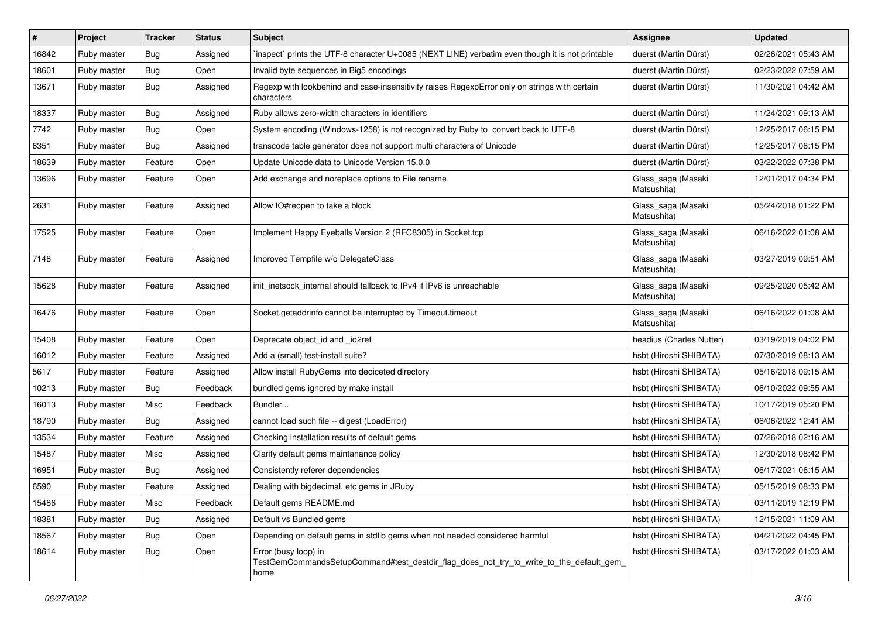| $\vert$ # | Project     | <b>Tracker</b> | <b>Status</b> | Subject                                                                                                                 | <b>Assignee</b>                   | <b>Updated</b>      |
|-----------|-------------|----------------|---------------|-------------------------------------------------------------------------------------------------------------------------|-----------------------------------|---------------------|
| 16842     | Ruby master | <b>Bug</b>     | Assigned      | inspect` prints the UTF-8 character U+0085 (NEXT LINE) verbatim even though it is not printable                         | duerst (Martin Dürst)             | 02/26/2021 05:43 AM |
| 18601     | Ruby master | Bug            | Open          | Invalid byte sequences in Big5 encodings                                                                                | duerst (Martin Dürst)             | 02/23/2022 07:59 AM |
| 13671     | Ruby master | Bug            | Assigned      | Regexp with lookbehind and case-insensitivity raises RegexpError only on strings with certain<br>characters             | duerst (Martin Dürst)             | 11/30/2021 04:42 AM |
| 18337     | Ruby master | <b>Bug</b>     | Assigned      | Ruby allows zero-width characters in identifiers                                                                        | duerst (Martin Dürst)             | 11/24/2021 09:13 AM |
| 7742      | Ruby master | Bug            | Open          | System encoding (Windows-1258) is not recognized by Ruby to convert back to UTF-8                                       | duerst (Martin Dürst)             | 12/25/2017 06:15 PM |
| 6351      | Ruby master | <b>Bug</b>     | Assigned      | transcode table generator does not support multi characters of Unicode                                                  | duerst (Martin Dürst)             | 12/25/2017 06:15 PM |
| 18639     | Ruby master | Feature        | Open          | Update Unicode data to Unicode Version 15.0.0                                                                           | duerst (Martin Dürst)             | 03/22/2022 07:38 PM |
| 13696     | Ruby master | Feature        | Open          | Add exchange and noreplace options to File.rename                                                                       | Glass_saga (Masaki<br>Matsushita) | 12/01/2017 04:34 PM |
| 2631      | Ruby master | Feature        | Assigned      | Allow IO#reopen to take a block                                                                                         | Glass_saga (Masaki<br>Matsushita) | 05/24/2018 01:22 PM |
| 17525     | Ruby master | Feature        | Open          | Implement Happy Eyeballs Version 2 (RFC8305) in Socket.tcp                                                              | Glass_saga (Masaki<br>Matsushita) | 06/16/2022 01:08 AM |
| 7148      | Ruby master | Feature        | Assigned      | Improved Tempfile w/o DelegateClass                                                                                     | Glass_saga (Masaki<br>Matsushita) | 03/27/2019 09:51 AM |
| 15628     | Ruby master | Feature        | Assigned      | init_inetsock_internal should fallback to IPv4 if IPv6 is unreachable                                                   | Glass_saga (Masaki<br>Matsushita) | 09/25/2020 05:42 AM |
| 16476     | Ruby master | Feature        | Open          | Socket.getaddrinfo cannot be interrupted by Timeout.timeout                                                             | Glass_saga (Masaki<br>Matsushita) | 06/16/2022 01:08 AM |
| 15408     | Ruby master | Feature        | Open          | Deprecate object_id and _id2ref                                                                                         | headius (Charles Nutter)          | 03/19/2019 04:02 PM |
| 16012     | Ruby master | Feature        | Assigned      | Add a (small) test-install suite?                                                                                       | hsbt (Hiroshi SHIBATA)            | 07/30/2019 08:13 AM |
| 5617      | Ruby master | Feature        | Assigned      | Allow install RubyGems into dediceted directory                                                                         | hsbt (Hiroshi SHIBATA)            | 05/16/2018 09:15 AM |
| 10213     | Ruby master | Bug            | Feedback      | bundled gems ignored by make install                                                                                    | hsbt (Hiroshi SHIBATA)            | 06/10/2022 09:55 AM |
| 16013     | Ruby master | Misc           | Feedback      | Bundler                                                                                                                 | hsbt (Hiroshi SHIBATA)            | 10/17/2019 05:20 PM |
| 18790     | Ruby master | Bug            | Assigned      | cannot load such file -- digest (LoadError)                                                                             | hsbt (Hiroshi SHIBATA)            | 06/06/2022 12:41 AM |
| 13534     | Ruby master | Feature        | Assigned      | Checking installation results of default gems                                                                           | hsbt (Hiroshi SHIBATA)            | 07/26/2018 02:16 AM |
| 15487     | Ruby master | Misc           | Assigned      | Clarify default gems maintanance policy                                                                                 | hsbt (Hiroshi SHIBATA)            | 12/30/2018 08:42 PM |
| 16951     | Ruby master | Bug            | Assigned      | Consistently referer dependencies                                                                                       | hsbt (Hiroshi SHIBATA)            | 06/17/2021 06:15 AM |
| 6590      | Ruby master | Feature        | Assigned      | Dealing with bigdecimal, etc gems in JRuby                                                                              | hsbt (Hiroshi SHIBATA)            | 05/15/2019 08:33 PM |
| 15486     | Ruby master | Misc           | Feedback      | Default gems README.md                                                                                                  | hsbt (Hiroshi SHIBATA)            | 03/11/2019 12:19 PM |
| 18381     | Ruby master | <b>Bug</b>     | Assigned      | Default vs Bundled gems                                                                                                 | hsbt (Hiroshi SHIBATA)            | 12/15/2021 11:09 AM |
| 18567     | Ruby master | <b>Bug</b>     | Open          | Depending on default gems in stdlib gems when not needed considered harmful                                             | hsbt (Hiroshi SHIBATA)            | 04/21/2022 04:45 PM |
| 18614     | Ruby master | Bug            | Open          | Error (busy loop) in<br>TestGemCommandsSetupCommand#test_destdir_flag_does_not_try_to_write_to_the_default_gem_<br>home | hsbt (Hiroshi SHIBATA)            | 03/17/2022 01:03 AM |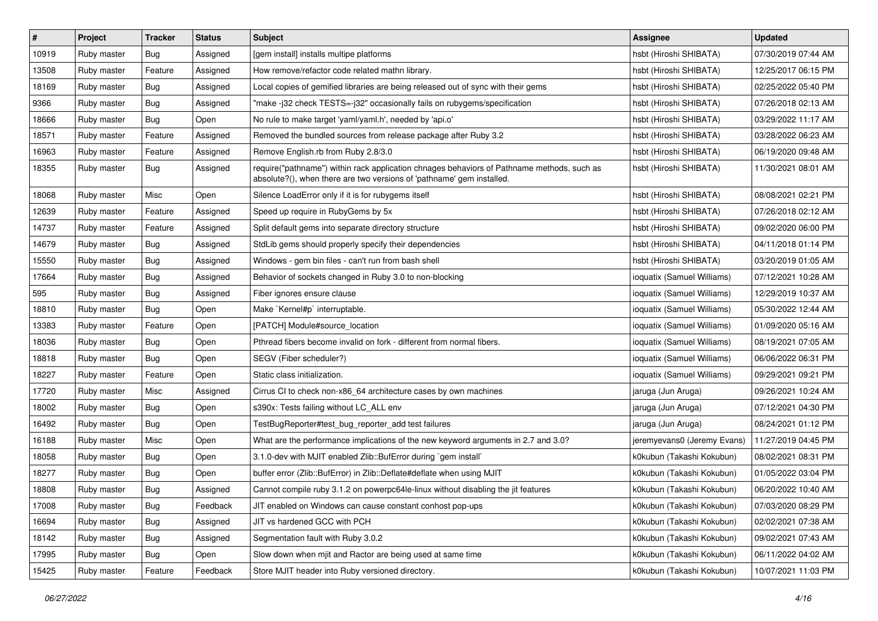| $\pmb{\#}$ | Project     | <b>Tracker</b> | <b>Status</b> | Subject                                                                                                                                                             | <b>Assignee</b>             | <b>Updated</b>      |
|------------|-------------|----------------|---------------|---------------------------------------------------------------------------------------------------------------------------------------------------------------------|-----------------------------|---------------------|
| 10919      | Ruby master | <b>Bug</b>     | Assigned      | [gem install] installs multipe platforms                                                                                                                            | hsbt (Hiroshi SHIBATA)      | 07/30/2019 07:44 AM |
| 13508      | Ruby master | Feature        | Assigned      | How remove/refactor code related mathn library.                                                                                                                     | hsbt (Hiroshi SHIBATA)      | 12/25/2017 06:15 PM |
| 18169      | Ruby master | Bug            | Assigned      | Local copies of gemified libraries are being released out of sync with their gems                                                                                   | hsbt (Hiroshi SHIBATA)      | 02/25/2022 05:40 PM |
| 9366       | Ruby master | <b>Bug</b>     | Assigned      | "make -j32 check TESTS=-j32" occasionally fails on rubygems/specification                                                                                           | hsbt (Hiroshi SHIBATA)      | 07/26/2018 02:13 AM |
| 18666      | Ruby master | Bug            | Open          | No rule to make target 'yaml/yaml.h', needed by 'api.o'                                                                                                             | hsbt (Hiroshi SHIBATA)      | 03/29/2022 11:17 AM |
| 18571      | Ruby master | Feature        | Assigned      | Removed the bundled sources from release package after Ruby 3.2                                                                                                     | hsbt (Hiroshi SHIBATA)      | 03/28/2022 06:23 AM |
| 16963      | Ruby master | Feature        | Assigned      | Remove English.rb from Ruby 2.8/3.0                                                                                                                                 | hsbt (Hiroshi SHIBATA)      | 06/19/2020 09:48 AM |
| 18355      | Ruby master | Bug            | Assigned      | require("pathname") within rack application chnages behaviors of Pathname methods, such as<br>absolute?(), when there are two versions of 'pathname' gem installed. | hsbt (Hiroshi SHIBATA)      | 11/30/2021 08:01 AM |
| 18068      | Ruby master | Misc           | Open          | Silence LoadError only if it is for rubygems itself                                                                                                                 | hsbt (Hiroshi SHIBATA)      | 08/08/2021 02:21 PM |
| 12639      | Ruby master | Feature        | Assigned      | Speed up require in RubyGems by 5x                                                                                                                                  | hsbt (Hiroshi SHIBATA)      | 07/26/2018 02:12 AM |
| 14737      | Ruby master | Feature        | Assigned      | Split default gems into separate directory structure                                                                                                                | hsbt (Hiroshi SHIBATA)      | 09/02/2020 06:00 PM |
| 14679      | Ruby master | <b>Bug</b>     | Assigned      | StdLib gems should properly specify their dependencies                                                                                                              | hsbt (Hiroshi SHIBATA)      | 04/11/2018 01:14 PM |
| 15550      | Ruby master | <b>Bug</b>     | Assigned      | Windows - gem bin files - can't run from bash shell                                                                                                                 | hsbt (Hiroshi SHIBATA)      | 03/20/2019 01:05 AM |
| 17664      | Ruby master | Bug            | Assigned      | Behavior of sockets changed in Ruby 3.0 to non-blocking                                                                                                             | ioquatix (Samuel Williams)  | 07/12/2021 10:28 AM |
| 595        | Ruby master | Bug            | Assigned      | Fiber ignores ensure clause                                                                                                                                         | ioquatix (Samuel Williams)  | 12/29/2019 10:37 AM |
| 18810      | Ruby master | Bug            | Open          | Make `Kernel#p` interruptable.                                                                                                                                      | ioquatix (Samuel Williams)  | 05/30/2022 12:44 AM |
| 13383      | Ruby master | Feature        | Open          | [PATCH] Module#source location                                                                                                                                      | ioquatix (Samuel Williams)  | 01/09/2020 05:16 AM |
| 18036      | Ruby master | Bug            | Open          | Pthread fibers become invalid on fork - different from normal fibers.                                                                                               | ioquatix (Samuel Williams)  | 08/19/2021 07:05 AM |
| 18818      | Ruby master | Bug            | Open          | SEGV (Fiber scheduler?)                                                                                                                                             | ioquatix (Samuel Williams)  | 06/06/2022 06:31 PM |
| 18227      | Ruby master | Feature        | Open          | Static class initialization.                                                                                                                                        | ioquatix (Samuel Williams)  | 09/29/2021 09:21 PM |
| 17720      | Ruby master | Misc           | Assigned      | Cirrus CI to check non-x86_64 architecture cases by own machines                                                                                                    | jaruga (Jun Aruga)          | 09/26/2021 10:24 AM |
| 18002      | Ruby master | Bug            | Open          | s390x: Tests failing without LC_ALL env                                                                                                                             | jaruga (Jun Aruga)          | 07/12/2021 04:30 PM |
| 16492      | Ruby master | <b>Bug</b>     | Open          | TestBugReporter#test_bug_reporter_add test failures                                                                                                                 | jaruga (Jun Aruga)          | 08/24/2021 01:12 PM |
| 16188      | Ruby master | Misc           | Open          | What are the performance implications of the new keyword arguments in 2.7 and 3.0?                                                                                  | jeremyevans0 (Jeremy Evans) | 11/27/2019 04:45 PM |
| 18058      | Ruby master | Bug            | Open          | 3.1.0-dev with MJIT enabled Zlib::BufError during `gem install`                                                                                                     | k0kubun (Takashi Kokubun)   | 08/02/2021 08:31 PM |
| 18277      | Ruby master | <b>Bug</b>     | Open          | buffer error (Zlib::BufError) in Zlib::Deflate#deflate when using MJIT                                                                                              | k0kubun (Takashi Kokubun)   | 01/05/2022 03:04 PM |
| 18808      | Ruby master | <b>Bug</b>     | Assigned      | Cannot compile ruby 3.1.2 on powerpc64le-linux without disabling the jit features                                                                                   | k0kubun (Takashi Kokubun)   | 06/20/2022 10:40 AM |
| 17008      | Ruby master | <b>Bug</b>     | Feedback      | JIT enabled on Windows can cause constant conhost pop-ups                                                                                                           | k0kubun (Takashi Kokubun)   | 07/03/2020 08:29 PM |
| 16694      | Ruby master | <b>Bug</b>     | Assigned      | JIT vs hardened GCC with PCH                                                                                                                                        | k0kubun (Takashi Kokubun)   | 02/02/2021 07:38 AM |
| 18142      | Ruby master | <b>Bug</b>     | Assigned      | Segmentation fault with Ruby 3.0.2                                                                                                                                  | k0kubun (Takashi Kokubun)   | 09/02/2021 07:43 AM |
| 17995      | Ruby master | <b>Bug</b>     | Open          | Slow down when mjit and Ractor are being used at same time                                                                                                          | k0kubun (Takashi Kokubun)   | 06/11/2022 04:02 AM |
| 15425      | Ruby master | Feature        | Feedback      | Store MJIT header into Ruby versioned directory.                                                                                                                    | k0kubun (Takashi Kokubun)   | 10/07/2021 11:03 PM |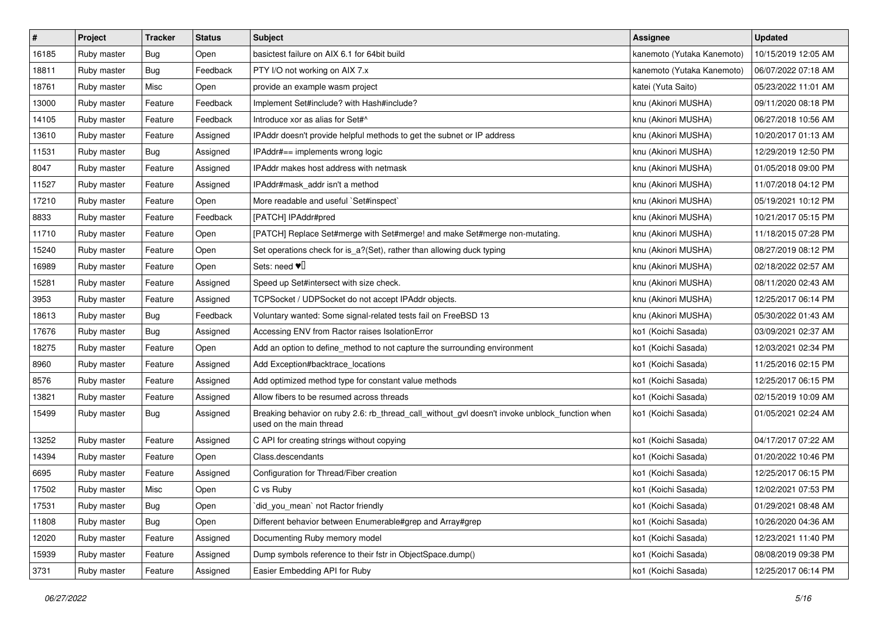| $\sharp$ | Project     | <b>Tracker</b> | <b>Status</b> | Subject                                                                                                                   | <b>Assignee</b>            | <b>Updated</b>      |
|----------|-------------|----------------|---------------|---------------------------------------------------------------------------------------------------------------------------|----------------------------|---------------------|
| 16185    | Ruby master | <b>Bug</b>     | Open          | basictest failure on AIX 6.1 for 64bit build                                                                              | kanemoto (Yutaka Kanemoto) | 10/15/2019 12:05 AM |
| 18811    | Ruby master | Bug            | Feedback      | PTY I/O not working on AIX 7.x                                                                                            | kanemoto (Yutaka Kanemoto) | 06/07/2022 07:18 AM |
| 18761    | Ruby master | Misc           | Open          | provide an example wasm project                                                                                           | katei (Yuta Saito)         | 05/23/2022 11:01 AM |
| 13000    | Ruby master | Feature        | Feedback      | Implement Set#include? with Hash#include?                                                                                 | knu (Akinori MUSHA)        | 09/11/2020 08:18 PM |
| 14105    | Ruby master | Feature        | Feedback      | Introduce xor as alias for Set#^                                                                                          | knu (Akinori MUSHA)        | 06/27/2018 10:56 AM |
| 13610    | Ruby master | Feature        | Assigned      | IPAddr doesn't provide helpful methods to get the subnet or IP address                                                    | knu (Akinori MUSHA)        | 10/20/2017 01:13 AM |
| 11531    | Ruby master | Bug            | Assigned      | IPAddr#== implements wrong logic                                                                                          | knu (Akinori MUSHA)        | 12/29/2019 12:50 PM |
| 8047     | Ruby master | Feature        | Assigned      | <b>IPAddr makes host address with netmask</b>                                                                             | knu (Akinori MUSHA)        | 01/05/2018 09:00 PM |
| 11527    | Ruby master | Feature        | Assigned      | IPAddr#mask_addr isn't a method                                                                                           | knu (Akinori MUSHA)        | 11/07/2018 04:12 PM |
| 17210    | Ruby master | Feature        | Open          | More readable and useful `Set#inspect`                                                                                    | knu (Akinori MUSHA)        | 05/19/2021 10:12 PM |
| 8833     | Ruby master | Feature        | Feedback      | [PATCH] IPAddr#pred                                                                                                       | knu (Akinori MUSHA)        | 10/21/2017 05:15 PM |
| 11710    | Ruby master | Feature        | Open          | [PATCH] Replace Set#merge with Set#merge! and make Set#merge non-mutating.                                                | knu (Akinori MUSHA)        | 11/18/2015 07:28 PM |
| 15240    | Ruby master | Feature        | Open          | Set operations check for is_a?(Set), rather than allowing duck typing                                                     | knu (Akinori MUSHA)        | 08/27/2019 08:12 PM |
| 16989    | Ruby master | Feature        | Open          | Sets: need $\Psi$                                                                                                         | knu (Akinori MUSHA)        | 02/18/2022 02:57 AM |
| 15281    | Ruby master | Feature        | Assigned      | Speed up Set#intersect with size check.                                                                                   | knu (Akinori MUSHA)        | 08/11/2020 02:43 AM |
| 3953     | Ruby master | Feature        | Assigned      | TCPSocket / UDPSocket do not accept IPAddr objects.                                                                       | knu (Akinori MUSHA)        | 12/25/2017 06:14 PM |
| 18613    | Ruby master | Bug            | Feedback      | Voluntary wanted: Some signal-related tests fail on FreeBSD 13                                                            | knu (Akinori MUSHA)        | 05/30/2022 01:43 AM |
| 17676    | Ruby master | Bug            | Assigned      | Accessing ENV from Ractor raises IsolationError                                                                           | ko1 (Koichi Sasada)        | 03/09/2021 02:37 AM |
| 18275    | Ruby master | Feature        | Open          | Add an option to define method to not capture the surrounding environment                                                 | ko1 (Koichi Sasada)        | 12/03/2021 02:34 PM |
| 8960     | Ruby master | Feature        | Assigned      | Add Exception#backtrace_locations                                                                                         | ko1 (Koichi Sasada)        | 11/25/2016 02:15 PM |
| 8576     | Ruby master | Feature        | Assigned      | Add optimized method type for constant value methods                                                                      | ko1 (Koichi Sasada)        | 12/25/2017 06:15 PM |
| 13821    | Ruby master | Feature        | Assigned      | Allow fibers to be resumed across threads                                                                                 | ko1 (Koichi Sasada)        | 02/15/2019 10:09 AM |
| 15499    | Ruby master | Bug            | Assigned      | Breaking behavior on ruby 2.6: rb_thread_call_without_gvl doesn't invoke unblock_function when<br>used on the main thread | ko1 (Koichi Sasada)        | 01/05/2021 02:24 AM |
| 13252    | Ruby master | Feature        | Assigned      | C API for creating strings without copying                                                                                | ko1 (Koichi Sasada)        | 04/17/2017 07:22 AM |
| 14394    | Ruby master | Feature        | Open          | Class.descendants                                                                                                         | ko1 (Koichi Sasada)        | 01/20/2022 10:46 PM |
| 6695     | Ruby master | Feature        | Assigned      | Configuration for Thread/Fiber creation                                                                                   | ko1 (Koichi Sasada)        | 12/25/2017 06:15 PM |
| 17502    | Ruby master | Misc           | Open          | C vs Ruby                                                                                                                 | ko1 (Koichi Sasada)        | 12/02/2021 07:53 PM |
| 17531    | Ruby master | <b>Bug</b>     | Open          | did_you_mean' not Ractor friendly                                                                                         | ko1 (Koichi Sasada)        | 01/29/2021 08:48 AM |
| 11808    | Ruby master | <b>Bug</b>     | Open          | Different behavior between Enumerable#grep and Array#grep                                                                 | ko1 (Koichi Sasada)        | 10/26/2020 04:36 AM |
| 12020    | Ruby master | Feature        | Assigned      | Documenting Ruby memory model                                                                                             | ko1 (Koichi Sasada)        | 12/23/2021 11:40 PM |
| 15939    | Ruby master | Feature        | Assigned      | Dump symbols reference to their fstr in ObjectSpace.dump()                                                                | ko1 (Koichi Sasada)        | 08/08/2019 09:38 PM |
| 3731     | Ruby master | Feature        | Assigned      | Easier Embedding API for Ruby                                                                                             | ko1 (Koichi Sasada)        | 12/25/2017 06:14 PM |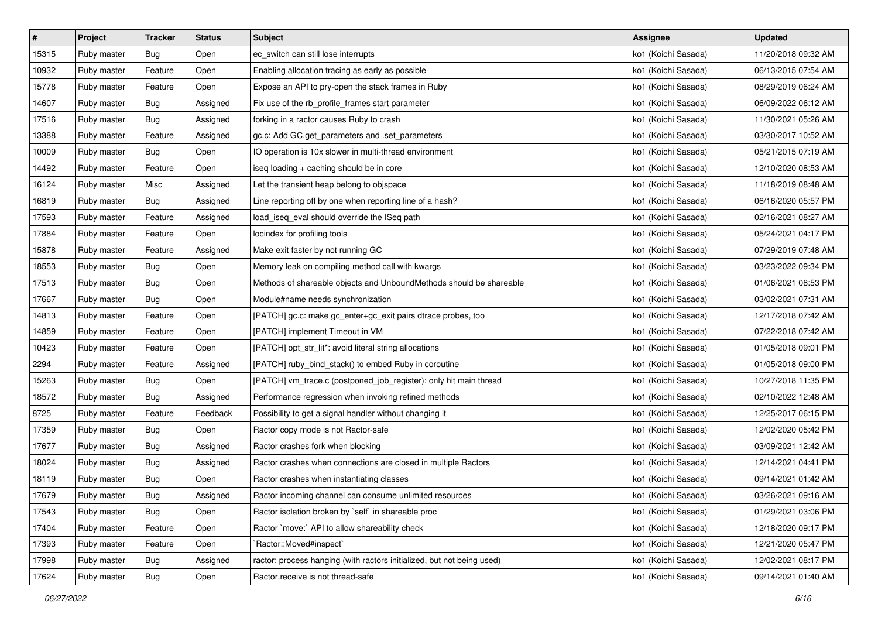| $\pmb{\#}$ | Project     | <b>Tracker</b> | <b>Status</b> | Subject                                                                | Assignee            | <b>Updated</b>      |
|------------|-------------|----------------|---------------|------------------------------------------------------------------------|---------------------|---------------------|
| 15315      | Ruby master | Bug            | Open          | ec_switch can still lose interrupts                                    | ko1 (Koichi Sasada) | 11/20/2018 09:32 AM |
| 10932      | Ruby master | Feature        | Open          | Enabling allocation tracing as early as possible                       | ko1 (Koichi Sasada) | 06/13/2015 07:54 AM |
| 15778      | Ruby master | Feature        | Open          | Expose an API to pry-open the stack frames in Ruby                     | ko1 (Koichi Sasada) | 08/29/2019 06:24 AM |
| 14607      | Ruby master | Bug            | Assigned      | Fix use of the rb_profile_frames start parameter                       | ko1 (Koichi Sasada) | 06/09/2022 06:12 AM |
| 17516      | Ruby master | Bug            | Assigned      | forking in a ractor causes Ruby to crash                               | ko1 (Koichi Sasada) | 11/30/2021 05:26 AM |
| 13388      | Ruby master | Feature        | Assigned      | gc.c: Add GC.get_parameters and .set_parameters                        | ko1 (Koichi Sasada) | 03/30/2017 10:52 AM |
| 10009      | Ruby master | <b>Bug</b>     | Open          | IO operation is 10x slower in multi-thread environment                 | ko1 (Koichi Sasada) | 05/21/2015 07:19 AM |
| 14492      | Ruby master | Feature        | Open          | iseq loading + caching should be in core                               | ko1 (Koichi Sasada) | 12/10/2020 08:53 AM |
| 16124      | Ruby master | Misc           | Assigned      | Let the transient heap belong to objspace                              | ko1 (Koichi Sasada) | 11/18/2019 08:48 AM |
| 16819      | Ruby master | Bug            | Assigned      | Line reporting off by one when reporting line of a hash?               | ko1 (Koichi Sasada) | 06/16/2020 05:57 PM |
| 17593      | Ruby master | Feature        | Assigned      | load_iseq_eval should override the ISeq path                           | ko1 (Koichi Sasada) | 02/16/2021 08:27 AM |
| 17884      | Ruby master | Feature        | Open          | locindex for profiling tools                                           | ko1 (Koichi Sasada) | 05/24/2021 04:17 PM |
| 15878      | Ruby master | Feature        | Assigned      | Make exit faster by not running GC                                     | ko1 (Koichi Sasada) | 07/29/2019 07:48 AM |
| 18553      | Ruby master | Bug            | Open          | Memory leak on compiling method call with kwargs                       | ko1 (Koichi Sasada) | 03/23/2022 09:34 PM |
| 17513      | Ruby master | <b>Bug</b>     | Open          | Methods of shareable objects and UnboundMethods should be shareable    | ko1 (Koichi Sasada) | 01/06/2021 08:53 PM |
| 17667      | Ruby master | Bug            | Open          | Module#name needs synchronization                                      | ko1 (Koichi Sasada) | 03/02/2021 07:31 AM |
| 14813      | Ruby master | Feature        | Open          | [PATCH] gc.c: make gc_enter+gc_exit pairs dtrace probes, too           | ko1 (Koichi Sasada) | 12/17/2018 07:42 AM |
| 14859      | Ruby master | Feature        | Open          | [PATCH] implement Timeout in VM                                        | ko1 (Koichi Sasada) | 07/22/2018 07:42 AM |
| 10423      | Ruby master | Feature        | Open          | [PATCH] opt_str_lit*: avoid literal string allocations                 | ko1 (Koichi Sasada) | 01/05/2018 09:01 PM |
| 2294       | Ruby master | Feature        | Assigned      | [PATCH] ruby_bind_stack() to embed Ruby in coroutine                   | ko1 (Koichi Sasada) | 01/05/2018 09:00 PM |
| 15263      | Ruby master | Bug            | Open          | [PATCH] vm_trace.c (postponed_job_register): only hit main thread      | ko1 (Koichi Sasada) | 10/27/2018 11:35 PM |
| 18572      | Ruby master | <b>Bug</b>     | Assigned      | Performance regression when invoking refined methods                   | ko1 (Koichi Sasada) | 02/10/2022 12:48 AM |
| 8725       | Ruby master | Feature        | Feedback      | Possibility to get a signal handler without changing it                | ko1 (Koichi Sasada) | 12/25/2017 06:15 PM |
| 17359      | Ruby master | <b>Bug</b>     | Open          | Ractor copy mode is not Ractor-safe                                    | ko1 (Koichi Sasada) | 12/02/2020 05:42 PM |
| 17677      | Ruby master | <b>Bug</b>     | Assigned      | Ractor crashes fork when blocking                                      | ko1 (Koichi Sasada) | 03/09/2021 12:42 AM |
| 18024      | Ruby master | Bug            | Assigned      | Ractor crashes when connections are closed in multiple Ractors         | ko1 (Koichi Sasada) | 12/14/2021 04:41 PM |
| 18119      | Ruby master | Bug            | Open          | Ractor crashes when instantiating classes                              | ko1 (Koichi Sasada) | 09/14/2021 01:42 AM |
| 17679      | Ruby master | Bug            | Assigned      | Ractor incoming channel can consume unlimited resources                | ko1 (Koichi Sasada) | 03/26/2021 09:16 AM |
| 17543      | Ruby master | Bug            | Open          | Ractor isolation broken by `self` in shareable proc                    | ko1 (Koichi Sasada) | 01/29/2021 03:06 PM |
| 17404      | Ruby master | Feature        | Open          | Ractor `move:` API to allow shareability check                         | ko1 (Koichi Sasada) | 12/18/2020 09:17 PM |
| 17393      | Ruby master | Feature        | Open          | `Ractor::Moved#inspect`                                                | ko1 (Koichi Sasada) | 12/21/2020 05:47 PM |
| 17998      | Ruby master | <b>Bug</b>     | Assigned      | ractor: process hanging (with ractors initialized, but not being used) | ko1 (Koichi Sasada) | 12/02/2021 08:17 PM |
| 17624      | Ruby master | <b>Bug</b>     | Open          | Ractor.receive is not thread-safe                                      | ko1 (Koichi Sasada) | 09/14/2021 01:40 AM |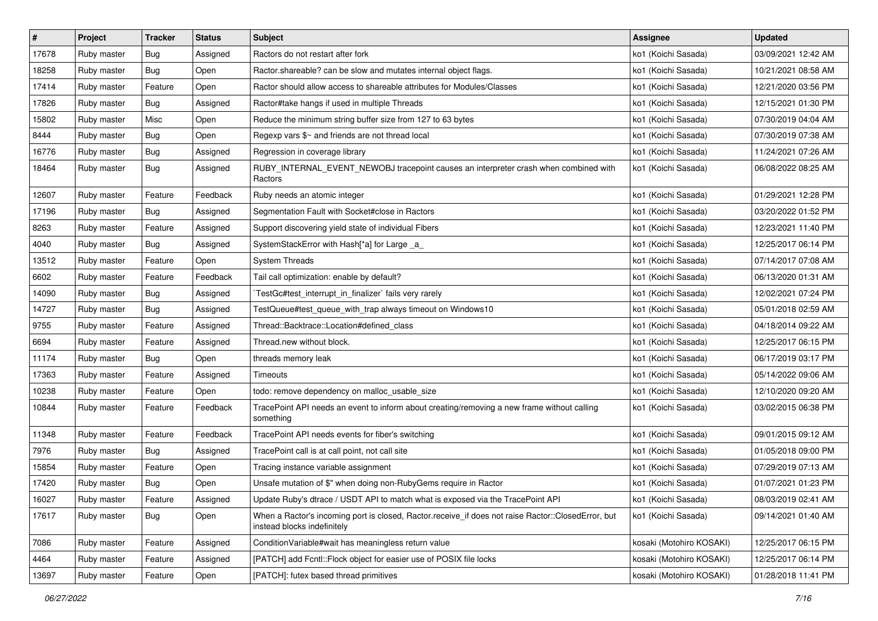| $\pmb{\#}$ | Project     | <b>Tracker</b> | <b>Status</b> | Subject                                                                                                                           | <b>Assignee</b>          | <b>Updated</b>      |
|------------|-------------|----------------|---------------|-----------------------------------------------------------------------------------------------------------------------------------|--------------------------|---------------------|
| 17678      | Ruby master | <b>Bug</b>     | Assigned      | Ractors do not restart after fork                                                                                                 | ko1 (Koichi Sasada)      | 03/09/2021 12:42 AM |
| 18258      | Ruby master | <b>Bug</b>     | Open          | Ractor shareable? can be slow and mutates internal object flags.                                                                  | ko1 (Koichi Sasada)      | 10/21/2021 08:58 AM |
| 17414      | Ruby master | Feature        | Open          | Ractor should allow access to shareable attributes for Modules/Classes                                                            | ko1 (Koichi Sasada)      | 12/21/2020 03:56 PM |
| 17826      | Ruby master | <b>Bug</b>     | Assigned      | Ractor#take hangs if used in multiple Threads                                                                                     | ko1 (Koichi Sasada)      | 12/15/2021 01:30 PM |
| 15802      | Ruby master | Misc           | Open          | Reduce the minimum string buffer size from 127 to 63 bytes                                                                        | ko1 (Koichi Sasada)      | 07/30/2019 04:04 AM |
| 8444       | Ruby master | <b>Bug</b>     | Open          | Regexp vars \$~ and friends are not thread local                                                                                  | ko1 (Koichi Sasada)      | 07/30/2019 07:38 AM |
| 16776      | Ruby master | <b>Bug</b>     | Assigned      | Regression in coverage library                                                                                                    | ko1 (Koichi Sasada)      | 11/24/2021 07:26 AM |
| 18464      | Ruby master | <b>Bug</b>     | Assigned      | RUBY_INTERNAL_EVENT_NEWOBJ tracepoint causes an interpreter crash when combined with<br>Ractors                                   | ko1 (Koichi Sasada)      | 06/08/2022 08:25 AM |
| 12607      | Ruby master | Feature        | Feedback      | Ruby needs an atomic integer                                                                                                      | ko1 (Koichi Sasada)      | 01/29/2021 12:28 PM |
| 17196      | Ruby master | Bug            | Assigned      | Segmentation Fault with Socket#close in Ractors                                                                                   | ko1 (Koichi Sasada)      | 03/20/2022 01:52 PM |
| 8263       | Ruby master | Feature        | Assigned      | Support discovering yield state of individual Fibers                                                                              | ko1 (Koichi Sasada)      | 12/23/2021 11:40 PM |
| 4040       | Ruby master | <b>Bug</b>     | Assigned      | SystemStackError with Hash[*a] for Large _a_                                                                                      | ko1 (Koichi Sasada)      | 12/25/2017 06:14 PM |
| 13512      | Ruby master | Feature        | Open          | <b>System Threads</b>                                                                                                             | ko1 (Koichi Sasada)      | 07/14/2017 07:08 AM |
| 6602       | Ruby master | Feature        | Feedback      | Tail call optimization: enable by default?                                                                                        | ko1 (Koichi Sasada)      | 06/13/2020 01:31 AM |
| 14090      | Ruby master | Bug            | Assigned      | TestGc#test_interrupt_in_finalizer` fails very rarely                                                                             | ko1 (Koichi Sasada)      | 12/02/2021 07:24 PM |
| 14727      | Ruby master | Bug            | Assigned      | TestQueue#test_queue_with_trap always timeout on Windows10                                                                        | ko1 (Koichi Sasada)      | 05/01/2018 02:59 AM |
| 9755       | Ruby master | Feature        | Assigned      | Thread::Backtrace::Location#defined class                                                                                         | ko1 (Koichi Sasada)      | 04/18/2014 09:22 AM |
| 6694       | Ruby master | Feature        | Assigned      | Thread.new without block.                                                                                                         | ko1 (Koichi Sasada)      | 12/25/2017 06:15 PM |
| 11174      | Ruby master | <b>Bug</b>     | Open          | threads memory leak                                                                                                               | ko1 (Koichi Sasada)      | 06/17/2019 03:17 PM |
| 17363      | Ruby master | Feature        | Assigned      | <b>Timeouts</b>                                                                                                                   | ko1 (Koichi Sasada)      | 05/14/2022 09:06 AM |
| 10238      | Ruby master | Feature        | Open          | todo: remove dependency on malloc_usable_size                                                                                     | ko1 (Koichi Sasada)      | 12/10/2020 09:20 AM |
| 10844      | Ruby master | Feature        | Feedback      | TracePoint API needs an event to inform about creating/removing a new frame without calling<br>something                          | ko1 (Koichi Sasada)      | 03/02/2015 06:38 PM |
| 11348      | Ruby master | Feature        | Feedback      | TracePoint API needs events for fiber's switching                                                                                 | ko1 (Koichi Sasada)      | 09/01/2015 09:12 AM |
| 7976       | Ruby master | Bug            | Assigned      | TracePoint call is at call point, not call site                                                                                   | ko1 (Koichi Sasada)      | 01/05/2018 09:00 PM |
| 15854      | Ruby master | Feature        | Open          | Tracing instance variable assignment                                                                                              | ko1 (Koichi Sasada)      | 07/29/2019 07:13 AM |
| 17420      | Ruby master | Bug            | Open          | Unsafe mutation of \$" when doing non-RubyGems require in Ractor                                                                  | ko1 (Koichi Sasada)      | 01/07/2021 01:23 PM |
| 16027      | Ruby master | Feature        | Assigned      | Update Ruby's dtrace / USDT API to match what is exposed via the TracePoint API                                                   | ko1 (Koichi Sasada)      | 08/03/2019 02:41 AM |
| 17617      | Ruby master | Bug            | Open          | When a Ractor's incoming port is closed, Ractor.receive_if does not raise Ractor::ClosedError, but<br>instead blocks indefinitely | ko1 (Koichi Sasada)      | 09/14/2021 01:40 AM |
| 7086       | Ruby master | Feature        | Assigned      | Condition Variable#wait has meaningless return value                                                                              | kosaki (Motohiro KOSAKI) | 12/25/2017 06:15 PM |
| 4464       | Ruby master | Feature        | Assigned      | [PATCH] add Fcntl:: Flock object for easier use of POSIX file locks                                                               | kosaki (Motohiro KOSAKI) | 12/25/2017 06:14 PM |
| 13697      | Ruby master | Feature        | Open          | [PATCH]: futex based thread primitives                                                                                            | kosaki (Motohiro KOSAKI) | 01/28/2018 11:41 PM |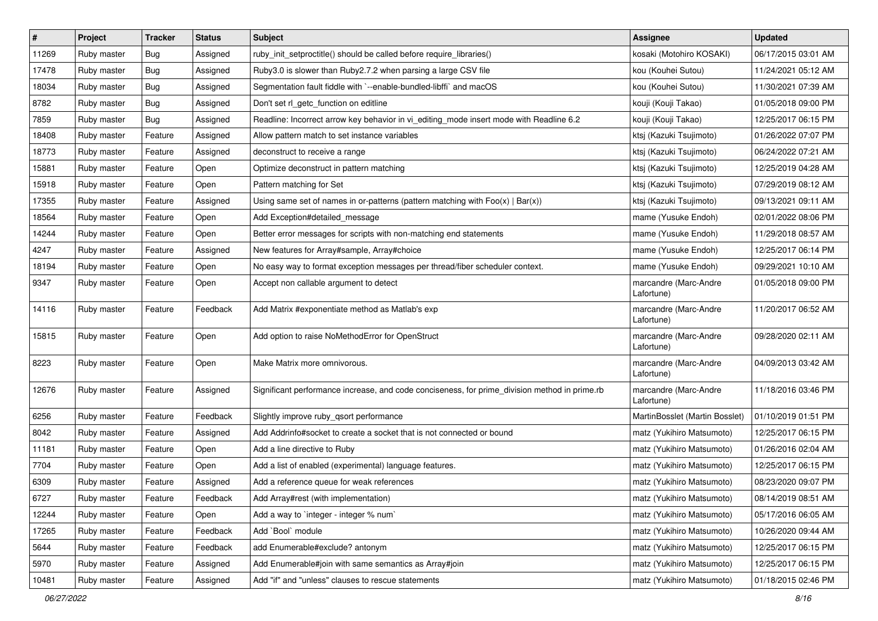| #     | Project     | <b>Tracker</b> | <b>Status</b> | Subject                                                                                       | <b>Assignee</b>                     | <b>Updated</b>      |
|-------|-------------|----------------|---------------|-----------------------------------------------------------------------------------------------|-------------------------------------|---------------------|
| 11269 | Ruby master | <b>Bug</b>     | Assigned      | ruby_init_setproctitle() should be called before require_libraries()                          | kosaki (Motohiro KOSAKI)            | 06/17/2015 03:01 AM |
| 17478 | Ruby master | Bug            | Assigned      | Ruby3.0 is slower than Ruby2.7.2 when parsing a large CSV file                                | kou (Kouhei Sutou)                  | 11/24/2021 05:12 AM |
| 18034 | Ruby master | Bug            | Assigned      | Segmentation fault fiddle with `--enable-bundled-libffi` and macOS                            | kou (Kouhei Sutou)                  | 11/30/2021 07:39 AM |
| 8782  | Ruby master | Bug            | Assigned      | Don't set rl_getc_function on editline                                                        | kouji (Kouji Takao)                 | 01/05/2018 09:00 PM |
| 7859  | Ruby master | <b>Bug</b>     | Assigned      | Readline: Incorrect arrow key behavior in vi_editing_mode insert mode with Readline 6.2       | kouji (Kouji Takao)                 | 12/25/2017 06:15 PM |
| 18408 | Ruby master | Feature        | Assigned      | Allow pattern match to set instance variables                                                 | ktsj (Kazuki Tsujimoto)             | 01/26/2022 07:07 PM |
| 18773 | Ruby master | Feature        | Assigned      | deconstruct to receive a range                                                                | ktsj (Kazuki Tsujimoto)             | 06/24/2022 07:21 AM |
| 15881 | Ruby master | Feature        | Open          | Optimize deconstruct in pattern matching                                                      | ktsj (Kazuki Tsujimoto)             | 12/25/2019 04:28 AM |
| 15918 | Ruby master | Feature        | Open          | Pattern matching for Set                                                                      | ktsj (Kazuki Tsujimoto)             | 07/29/2019 08:12 AM |
| 17355 | Ruby master | Feature        | Assigned      | Using same set of names in or-patterns (pattern matching with $Foo(x)   Bar(x)$ )             | ktsj (Kazuki Tsujimoto)             | 09/13/2021 09:11 AM |
| 18564 | Ruby master | Feature        | Open          | Add Exception#detailed_message                                                                | mame (Yusuke Endoh)                 | 02/01/2022 08:06 PM |
| 14244 | Ruby master | Feature        | Open          | Better error messages for scripts with non-matching end statements                            | mame (Yusuke Endoh)                 | 11/29/2018 08:57 AM |
| 4247  | Ruby master | Feature        | Assigned      | New features for Array#sample, Array#choice                                                   | mame (Yusuke Endoh)                 | 12/25/2017 06:14 PM |
| 18194 | Ruby master | Feature        | Open          | No easy way to format exception messages per thread/fiber scheduler context.                  | mame (Yusuke Endoh)                 | 09/29/2021 10:10 AM |
| 9347  | Ruby master | Feature        | Open          | Accept non callable argument to detect                                                        | marcandre (Marc-Andre<br>Lafortune) | 01/05/2018 09:00 PM |
| 14116 | Ruby master | Feature        | Feedback      | Add Matrix #exponentiate method as Matlab's exp                                               | marcandre (Marc-Andre<br>Lafortune) | 11/20/2017 06:52 AM |
| 15815 | Ruby master | Feature        | Open          | Add option to raise NoMethodError for OpenStruct                                              | marcandre (Marc-Andre<br>Lafortune) | 09/28/2020 02:11 AM |
| 8223  | Ruby master | Feature        | Open          | Make Matrix more omnivorous.                                                                  | marcandre (Marc-Andre<br>Lafortune) | 04/09/2013 03:42 AM |
| 12676 | Ruby master | Feature        | Assigned      | Significant performance increase, and code conciseness, for prime_division method in prime.rb | marcandre (Marc-Andre<br>Lafortune) | 11/18/2016 03:46 PM |
| 6256  | Ruby master | Feature        | Feedback      | Slightly improve ruby_qsort performance                                                       | MartinBosslet (Martin Bosslet)      | 01/10/2019 01:51 PM |
| 8042  | Ruby master | Feature        | Assigned      | Add Addrinfo#socket to create a socket that is not connected or bound                         | matz (Yukihiro Matsumoto)           | 12/25/2017 06:15 PM |
| 11181 | Ruby master | Feature        | Open          | Add a line directive to Ruby                                                                  | matz (Yukihiro Matsumoto)           | 01/26/2016 02:04 AM |
| 7704  | Ruby master | Feature        | Open          | Add a list of enabled (experimental) language features.                                       | matz (Yukihiro Matsumoto)           | 12/25/2017 06:15 PM |
| 6309  | Ruby master | Feature        | Assigned      | Add a reference queue for weak references                                                     | matz (Yukihiro Matsumoto)           | 08/23/2020 09:07 PM |
| 6727  | Ruby master | Feature        | Feedback      | Add Array#rest (with implementation)                                                          | matz (Yukihiro Matsumoto)           | 08/14/2019 08:51 AM |
| 12244 | Ruby master | Feature        | Open          | Add a way to 'integer - integer % num'                                                        | matz (Yukihiro Matsumoto)           | 05/17/2016 06:05 AM |
| 17265 | Ruby master | Feature        | Feedback      | Add `Bool` module                                                                             | matz (Yukihiro Matsumoto)           | 10/26/2020 09:44 AM |
| 5644  | Ruby master | Feature        | Feedback      | add Enumerable#exclude? antonym                                                               | matz (Yukihiro Matsumoto)           | 12/25/2017 06:15 PM |
| 5970  | Ruby master | Feature        | Assigned      | Add Enumerable#join with same semantics as Array#join                                         | matz (Yukihiro Matsumoto)           | 12/25/2017 06:15 PM |
| 10481 | Ruby master | Feature        | Assigned      | Add "if" and "unless" clauses to rescue statements                                            | matz (Yukihiro Matsumoto)           | 01/18/2015 02:46 PM |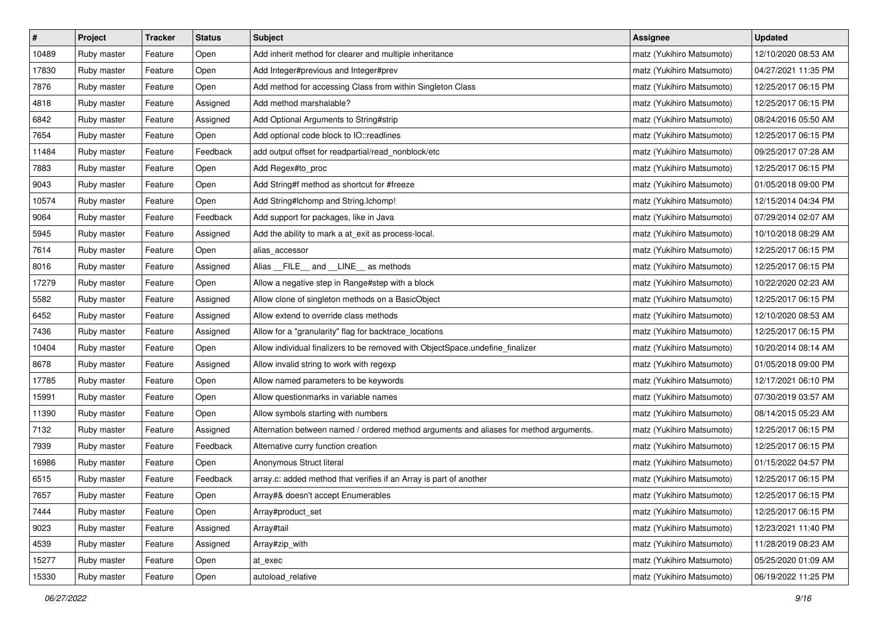| $\vert$ # | Project     | <b>Tracker</b> | <b>Status</b> | <b>Subject</b>                                                                         | <b>Assignee</b>           | <b>Updated</b>      |
|-----------|-------------|----------------|---------------|----------------------------------------------------------------------------------------|---------------------------|---------------------|
| 10489     | Ruby master | Feature        | Open          | Add inherit method for clearer and multiple inheritance                                | matz (Yukihiro Matsumoto) | 12/10/2020 08:53 AM |
| 17830     | Ruby master | Feature        | Open          | Add Integer#previous and Integer#prev                                                  | matz (Yukihiro Matsumoto) | 04/27/2021 11:35 PM |
| 7876      | Ruby master | Feature        | Open          | Add method for accessing Class from within Singleton Class                             | matz (Yukihiro Matsumoto) | 12/25/2017 06:15 PM |
| 4818      | Ruby master | Feature        | Assigned      | Add method marshalable?                                                                | matz (Yukihiro Matsumoto) | 12/25/2017 06:15 PM |
| 6842      | Ruby master | Feature        | Assigned      | Add Optional Arguments to String#strip                                                 | matz (Yukihiro Matsumoto) | 08/24/2016 05:50 AM |
| 7654      | Ruby master | Feature        | Open          | Add optional code block to IO::readlines                                               | matz (Yukihiro Matsumoto) | 12/25/2017 06:15 PM |
| 11484     | Ruby master | Feature        | Feedback      | add output offset for readpartial/read_nonblock/etc                                    | matz (Yukihiro Matsumoto) | 09/25/2017 07:28 AM |
| 7883      | Ruby master | Feature        | Open          | Add Regex#to_proc                                                                      | matz (Yukihiro Matsumoto) | 12/25/2017 06:15 PM |
| 9043      | Ruby master | Feature        | Open          | Add String#f method as shortcut for #freeze                                            | matz (Yukihiro Matsumoto) | 01/05/2018 09:00 PM |
| 10574     | Ruby master | Feature        | Open          | Add String#Ichomp and String.Ichomp!                                                   | matz (Yukihiro Matsumoto) | 12/15/2014 04:34 PM |
| 9064      | Ruby master | Feature        | Feedback      | Add support for packages, like in Java                                                 | matz (Yukihiro Matsumoto) | 07/29/2014 02:07 AM |
| 5945      | Ruby master | Feature        | Assigned      | Add the ability to mark a at_exit as process-local.                                    | matz (Yukihiro Matsumoto) | 10/10/2018 08:29 AM |
| 7614      | Ruby master | Feature        | Open          | alias_accessor                                                                         | matz (Yukihiro Matsumoto) | 12/25/2017 06:15 PM |
| 8016      | Ruby master | Feature        | Assigned      | Alias FILE and LINE as methods                                                         | matz (Yukihiro Matsumoto) | 12/25/2017 06:15 PM |
| 17279     | Ruby master | Feature        | Open          | Allow a negative step in Range#step with a block                                       | matz (Yukihiro Matsumoto) | 10/22/2020 02:23 AM |
| 5582      | Ruby master | Feature        | Assigned      | Allow clone of singleton methods on a BasicObject                                      | matz (Yukihiro Matsumoto) | 12/25/2017 06:15 PM |
| 6452      | Ruby master | Feature        | Assigned      | Allow extend to override class methods                                                 | matz (Yukihiro Matsumoto) | 12/10/2020 08:53 AM |
| 7436      | Ruby master | Feature        | Assigned      | Allow for a "granularity" flag for backtrace_locations                                 | matz (Yukihiro Matsumoto) | 12/25/2017 06:15 PM |
| 10404     | Ruby master | Feature        | Open          | Allow individual finalizers to be removed with ObjectSpace.undefine_finalizer          | matz (Yukihiro Matsumoto) | 10/20/2014 08:14 AM |
| 8678      | Ruby master | Feature        | Assigned      | Allow invalid string to work with regexp                                               | matz (Yukihiro Matsumoto) | 01/05/2018 09:00 PM |
| 17785     | Ruby master | Feature        | Open          | Allow named parameters to be keywords                                                  | matz (Yukihiro Matsumoto) | 12/17/2021 06:10 PM |
| 15991     | Ruby master | Feature        | Open          | Allow questionmarks in variable names                                                  | matz (Yukihiro Matsumoto) | 07/30/2019 03:57 AM |
| 11390     | Ruby master | Feature        | Open          | Allow symbols starting with numbers                                                    | matz (Yukihiro Matsumoto) | 08/14/2015 05:23 AM |
| 7132      | Ruby master | Feature        | Assigned      | Alternation between named / ordered method arguments and aliases for method arguments. | matz (Yukihiro Matsumoto) | 12/25/2017 06:15 PM |
| 7939      | Ruby master | Feature        | Feedback      | Alternative curry function creation                                                    | matz (Yukihiro Matsumoto) | 12/25/2017 06:15 PM |
| 16986     | Ruby master | Feature        | Open          | Anonymous Struct literal                                                               | matz (Yukihiro Matsumoto) | 01/15/2022 04:57 PM |
| 6515      | Ruby master | Feature        | Feedback      | array.c: added method that verifies if an Array is part of another                     | matz (Yukihiro Matsumoto) | 12/25/2017 06:15 PM |
| 7657      | Ruby master | Feature        | Open          | Array#& doesn't accept Enumerables                                                     | matz (Yukihiro Matsumoto) | 12/25/2017 06:15 PM |
| 7444      | Ruby master | Feature        | Open          | Array#product set                                                                      | matz (Yukihiro Matsumoto) | 12/25/2017 06:15 PM |
| 9023      | Ruby master | Feature        | Assigned      | Array#tail                                                                             | matz (Yukihiro Matsumoto) | 12/23/2021 11:40 PM |
| 4539      | Ruby master | Feature        | Assigned      | Array#zip_with                                                                         | matz (Yukihiro Matsumoto) | 11/28/2019 08:23 AM |
| 15277     | Ruby master | Feature        | Open          | at exec                                                                                | matz (Yukihiro Matsumoto) | 05/25/2020 01:09 AM |
| 15330     | Ruby master | Feature        | Open          | autoload_relative                                                                      | matz (Yukihiro Matsumoto) | 06/19/2022 11:25 PM |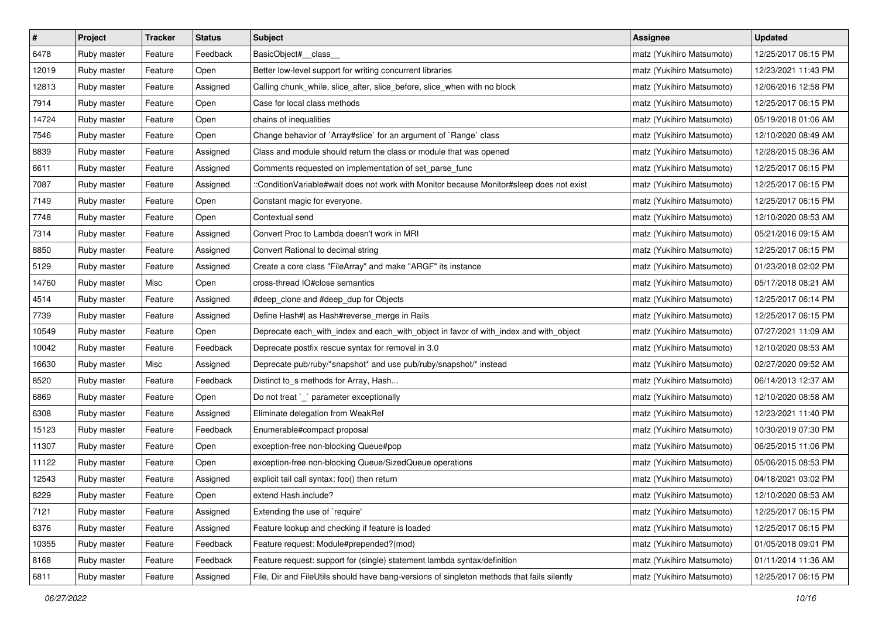| $\pmb{\#}$ | Project     | <b>Tracker</b> | <b>Status</b> | <b>Subject</b>                                                                             | <b>Assignee</b>           | <b>Updated</b>      |
|------------|-------------|----------------|---------------|--------------------------------------------------------------------------------------------|---------------------------|---------------------|
| 6478       | Ruby master | Feature        | Feedback      | BasicObject#_class_                                                                        | matz (Yukihiro Matsumoto) | 12/25/2017 06:15 PM |
| 12019      | Ruby master | Feature        | Open          | Better low-level support for writing concurrent libraries                                  | matz (Yukihiro Matsumoto) | 12/23/2021 11:43 PM |
| 12813      | Ruby master | Feature        | Assigned      | Calling chunk_while, slice_after, slice_before, slice_when with no block                   | matz (Yukihiro Matsumoto) | 12/06/2016 12:58 PM |
| 7914       | Ruby master | Feature        | Open          | Case for local class methods                                                               | matz (Yukihiro Matsumoto) | 12/25/2017 06:15 PM |
| 14724      | Ruby master | Feature        | Open          | chains of inequalities                                                                     | matz (Yukihiro Matsumoto) | 05/19/2018 01:06 AM |
| 7546       | Ruby master | Feature        | Open          | Change behavior of `Array#slice` for an argument of `Range` class                          | matz (Yukihiro Matsumoto) | 12/10/2020 08:49 AM |
| 8839       | Ruby master | Feature        | Assigned      | Class and module should return the class or module that was opened                         | matz (Yukihiro Matsumoto) | 12/28/2015 08:36 AM |
| 6611       | Ruby master | Feature        | Assigned      | Comments requested on implementation of set_parse_func                                     | matz (Yukihiro Matsumoto) | 12/25/2017 06:15 PM |
| 7087       | Ruby master | Feature        | Assigned      | ::ConditionVariable#wait does not work with Monitor because Monitor#sleep does not exist   | matz (Yukihiro Matsumoto) | 12/25/2017 06:15 PM |
| 7149       | Ruby master | Feature        | Open          | Constant magic for everyone.                                                               | matz (Yukihiro Matsumoto) | 12/25/2017 06:15 PM |
| 7748       | Ruby master | Feature        | Open          | Contextual send                                                                            | matz (Yukihiro Matsumoto) | 12/10/2020 08:53 AM |
| 7314       | Ruby master | Feature        | Assigned      | Convert Proc to Lambda doesn't work in MRI                                                 | matz (Yukihiro Matsumoto) | 05/21/2016 09:15 AM |
| 8850       | Ruby master | Feature        | Assigned      | Convert Rational to decimal string                                                         | matz (Yukihiro Matsumoto) | 12/25/2017 06:15 PM |
| 5129       | Ruby master | Feature        | Assigned      | Create a core class "FileArray" and make "ARGF" its instance                               | matz (Yukihiro Matsumoto) | 01/23/2018 02:02 PM |
| 14760      | Ruby master | Misc           | Open          | cross-thread IO#close semantics                                                            | matz (Yukihiro Matsumoto) | 05/17/2018 08:21 AM |
| 4514       | Ruby master | Feature        | Assigned      | #deep_clone and #deep_dup for Objects                                                      | matz (Yukihiro Matsumoto) | 12/25/2017 06:14 PM |
| 7739       | Ruby master | Feature        | Assigned      | Define Hash#  as Hash#reverse_merge in Rails                                               | matz (Yukihiro Matsumoto) | 12/25/2017 06:15 PM |
| 10549      | Ruby master | Feature        | Open          | Deprecate each_with_index and each_with_object in favor of with_index and with_object      | matz (Yukihiro Matsumoto) | 07/27/2021 11:09 AM |
| 10042      | Ruby master | Feature        | Feedback      | Deprecate postfix rescue syntax for removal in 3.0                                         | matz (Yukihiro Matsumoto) | 12/10/2020 08:53 AM |
| 16630      | Ruby master | Misc           | Assigned      | Deprecate pub/ruby/*snapshot* and use pub/ruby/snapshot/* instead                          | matz (Yukihiro Matsumoto) | 02/27/2020 09:52 AM |
| 8520       | Ruby master | Feature        | Feedback      | Distinct to_s methods for Array, Hash                                                      | matz (Yukihiro Matsumoto) | 06/14/2013 12:37 AM |
| 6869       | Ruby master | Feature        | Open          | Do not treat `_` parameter exceptionally                                                   | matz (Yukihiro Matsumoto) | 12/10/2020 08:58 AM |
| 6308       | Ruby master | Feature        | Assigned      | Eliminate delegation from WeakRef                                                          | matz (Yukihiro Matsumoto) | 12/23/2021 11:40 PM |
| 15123      | Ruby master | Feature        | Feedback      | Enumerable#compact proposal                                                                | matz (Yukihiro Matsumoto) | 10/30/2019 07:30 PM |
| 11307      | Ruby master | Feature        | Open          | exception-free non-blocking Queue#pop                                                      | matz (Yukihiro Matsumoto) | 06/25/2015 11:06 PM |
| 11122      | Ruby master | Feature        | Open          | exception-free non-blocking Queue/SizedQueue operations                                    | matz (Yukihiro Matsumoto) | 05/06/2015 08:53 PM |
| 12543      | Ruby master | Feature        | Assigned      | explicit tail call syntax: foo() then return                                               | matz (Yukihiro Matsumoto) | 04/18/2021 03:02 PM |
| 8229       | Ruby master | Feature        | Open          | extend Hash.include?                                                                       | matz (Yukihiro Matsumoto) | 12/10/2020 08:53 AM |
| 7121       | Ruby master | Feature        | Assigned      | Extending the use of `require'                                                             | matz (Yukihiro Matsumoto) | 12/25/2017 06:15 PM |
| 6376       | Ruby master | Feature        | Assigned      | Feature lookup and checking if feature is loaded                                           | matz (Yukihiro Matsumoto) | 12/25/2017 06:15 PM |
| 10355      | Ruby master | Feature        | Feedback      | Feature request: Module#prepended?(mod)                                                    | matz (Yukihiro Matsumoto) | 01/05/2018 09:01 PM |
| 8168       | Ruby master | Feature        | Feedback      | Feature request: support for (single) statement lambda syntax/definition                   | matz (Yukihiro Matsumoto) | 01/11/2014 11:36 AM |
| 6811       | Ruby master | Feature        | Assigned      | File, Dir and FileUtils should have bang-versions of singleton methods that fails silently | matz (Yukihiro Matsumoto) | 12/25/2017 06:15 PM |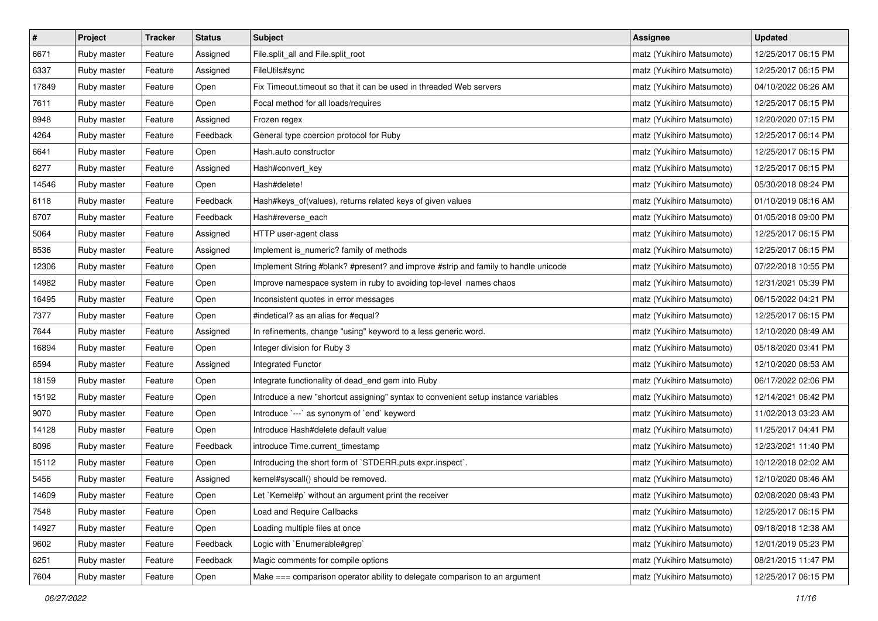| $\pmb{\#}$ | Project     | <b>Tracker</b> | <b>Status</b> | <b>Subject</b>                                                                     | <b>Assignee</b>           | <b>Updated</b>      |
|------------|-------------|----------------|---------------|------------------------------------------------------------------------------------|---------------------------|---------------------|
| 6671       | Ruby master | Feature        | Assigned      | File.split_all and File.split_root                                                 | matz (Yukihiro Matsumoto) | 12/25/2017 06:15 PM |
| 6337       | Ruby master | Feature        | Assigned      | FileUtils#sync                                                                     | matz (Yukihiro Matsumoto) | 12/25/2017 06:15 PM |
| 17849      | Ruby master | Feature        | Open          | Fix Timeout.timeout so that it can be used in threaded Web servers                 | matz (Yukihiro Matsumoto) | 04/10/2022 06:26 AM |
| 7611       | Ruby master | Feature        | Open          | Focal method for all loads/requires                                                | matz (Yukihiro Matsumoto) | 12/25/2017 06:15 PM |
| 8948       | Ruby master | Feature        | Assigned      | Frozen regex                                                                       | matz (Yukihiro Matsumoto) | 12/20/2020 07:15 PM |
| 4264       | Ruby master | Feature        | Feedback      | General type coercion protocol for Ruby                                            | matz (Yukihiro Matsumoto) | 12/25/2017 06:14 PM |
| 6641       | Ruby master | Feature        | Open          | Hash.auto constructor                                                              | matz (Yukihiro Matsumoto) | 12/25/2017 06:15 PM |
| 6277       | Ruby master | Feature        | Assigned      | Hash#convert_key                                                                   | matz (Yukihiro Matsumoto) | 12/25/2017 06:15 PM |
| 14546      | Ruby master | Feature        | Open          | Hash#delete!                                                                       | matz (Yukihiro Matsumoto) | 05/30/2018 08:24 PM |
| 6118       | Ruby master | Feature        | Feedback      | Hash#keys_of(values), returns related keys of given values                         | matz (Yukihiro Matsumoto) | 01/10/2019 08:16 AM |
| 8707       | Ruby master | Feature        | Feedback      | Hash#reverse_each                                                                  | matz (Yukihiro Matsumoto) | 01/05/2018 09:00 PM |
| 5064       | Ruby master | Feature        | Assigned      | HTTP user-agent class                                                              | matz (Yukihiro Matsumoto) | 12/25/2017 06:15 PM |
| 8536       | Ruby master | Feature        | Assigned      | Implement is_numeric? family of methods                                            | matz (Yukihiro Matsumoto) | 12/25/2017 06:15 PM |
| 12306      | Ruby master | Feature        | Open          | Implement String #blank? #present? and improve #strip and family to handle unicode | matz (Yukihiro Matsumoto) | 07/22/2018 10:55 PM |
| 14982      | Ruby master | Feature        | Open          | Improve namespace system in ruby to avoiding top-level names chaos                 | matz (Yukihiro Matsumoto) | 12/31/2021 05:39 PM |
| 16495      | Ruby master | Feature        | Open          | Inconsistent quotes in error messages                                              | matz (Yukihiro Matsumoto) | 06/15/2022 04:21 PM |
| 7377       | Ruby master | Feature        | Open          | #indetical? as an alias for #equal?                                                | matz (Yukihiro Matsumoto) | 12/25/2017 06:15 PM |
| 7644       | Ruby master | Feature        | Assigned      | In refinements, change "using" keyword to a less generic word.                     | matz (Yukihiro Matsumoto) | 12/10/2020 08:49 AM |
| 16894      | Ruby master | Feature        | Open          | Integer division for Ruby 3                                                        | matz (Yukihiro Matsumoto) | 05/18/2020 03:41 PM |
| 6594       | Ruby master | Feature        | Assigned      | Integrated Functor                                                                 | matz (Yukihiro Matsumoto) | 12/10/2020 08:53 AM |
| 18159      | Ruby master | Feature        | Open          | Integrate functionality of dead_end gem into Ruby                                  | matz (Yukihiro Matsumoto) | 06/17/2022 02:06 PM |
| 15192      | Ruby master | Feature        | Open          | Introduce a new "shortcut assigning" syntax to convenient setup instance variables | matz (Yukihiro Matsumoto) | 12/14/2021 06:42 PM |
| 9070       | Ruby master | Feature        | Open          | Introduce `---` as synonym of `end` keyword                                        | matz (Yukihiro Matsumoto) | 11/02/2013 03:23 AM |
| 14128      | Ruby master | Feature        | Open          | Introduce Hash#delete default value                                                | matz (Yukihiro Matsumoto) | 11/25/2017 04:41 PM |
| 8096       | Ruby master | Feature        | Feedback      | introduce Time.current_timestamp                                                   | matz (Yukihiro Matsumoto) | 12/23/2021 11:40 PM |
| 15112      | Ruby master | Feature        | Open          | Introducing the short form of `STDERR.puts expr.inspect`.                          | matz (Yukihiro Matsumoto) | 10/12/2018 02:02 AM |
| 5456       | Ruby master | Feature        | Assigned      | kernel#syscall() should be removed.                                                | matz (Yukihiro Matsumoto) | 12/10/2020 08:46 AM |
| 14609      | Ruby master | Feature        | Open          | Let `Kernel#p` without an argument print the receiver                              | matz (Yukihiro Matsumoto) | 02/08/2020 08:43 PM |
| 7548       | Ruby master | Feature        | Open          | Load and Require Callbacks                                                         | matz (Yukihiro Matsumoto) | 12/25/2017 06:15 PM |
| 14927      | Ruby master | Feature        | Open          | Loading multiple files at once                                                     | matz (Yukihiro Matsumoto) | 09/18/2018 12:38 AM |
| 9602       | Ruby master | Feature        | Feedback      | Logic with `Enumerable#grep`                                                       | matz (Yukihiro Matsumoto) | 12/01/2019 05:23 PM |
| 6251       | Ruby master | Feature        | Feedback      | Magic comments for compile options                                                 | matz (Yukihiro Matsumoto) | 08/21/2015 11:47 PM |
| 7604       | Ruby master | Feature        | Open          | Make === comparison operator ability to delegate comparison to an argument         | matz (Yukihiro Matsumoto) | 12/25/2017 06:15 PM |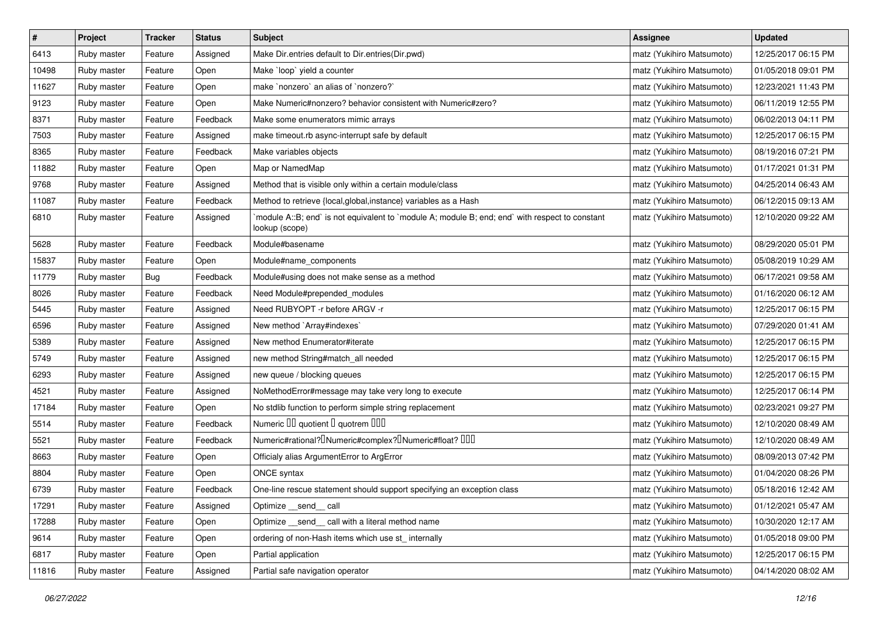| $\sharp$ | Project     | <b>Tracker</b> | <b>Status</b> | <b>Subject</b>                                                                                                   | <b>Assignee</b>           | <b>Updated</b>      |
|----------|-------------|----------------|---------------|------------------------------------------------------------------------------------------------------------------|---------------------------|---------------------|
| 6413     | Ruby master | Feature        | Assigned      | Make Dir.entries default to Dir.entries(Dir.pwd)                                                                 | matz (Yukihiro Matsumoto) | 12/25/2017 06:15 PM |
| 10498    | Ruby master | Feature        | Open          | Make `loop` yield a counter                                                                                      | matz (Yukihiro Matsumoto) | 01/05/2018 09:01 PM |
| 11627    | Ruby master | Feature        | Open          | make `nonzero` an alias of `nonzero?`                                                                            | matz (Yukihiro Matsumoto) | 12/23/2021 11:43 PM |
| 9123     | Ruby master | Feature        | Open          | Make Numeric#nonzero? behavior consistent with Numeric#zero?                                                     | matz (Yukihiro Matsumoto) | 06/11/2019 12:55 PM |
| 8371     | Ruby master | Feature        | Feedback      | Make some enumerators mimic arrays                                                                               | matz (Yukihiro Matsumoto) | 06/02/2013 04:11 PM |
| 7503     | Ruby master | Feature        | Assigned      | make timeout.rb async-interrupt safe by default                                                                  | matz (Yukihiro Matsumoto) | 12/25/2017 06:15 PM |
| 8365     | Ruby master | Feature        | Feedback      | Make variables objects                                                                                           | matz (Yukihiro Matsumoto) | 08/19/2016 07:21 PM |
| 11882    | Ruby master | Feature        | Open          | Map or NamedMap                                                                                                  | matz (Yukihiro Matsumoto) | 01/17/2021 01:31 PM |
| 9768     | Ruby master | Feature        | Assigned      | Method that is visible only within a certain module/class                                                        | matz (Yukihiro Matsumoto) | 04/25/2014 06:43 AM |
| 11087    | Ruby master | Feature        | Feedback      | Method to retrieve {local, global, instance} variables as a Hash                                                 | matz (Yukihiro Matsumoto) | 06/12/2015 09:13 AM |
| 6810     | Ruby master | Feature        | Assigned      | module A::B; end` is not equivalent to `module A; module B; end; end` with respect to constant<br>lookup (scope) | matz (Yukihiro Matsumoto) | 12/10/2020 09:22 AM |
| 5628     | Ruby master | Feature        | Feedback      | Module#basename                                                                                                  | matz (Yukihiro Matsumoto) | 08/29/2020 05:01 PM |
| 15837    | Ruby master | Feature        | Open          | Module#name_components                                                                                           | matz (Yukihiro Matsumoto) | 05/08/2019 10:29 AM |
| 11779    | Ruby master | <b>Bug</b>     | Feedback      | Module#using does not make sense as a method                                                                     | matz (Yukihiro Matsumoto) | 06/17/2021 09:58 AM |
| 8026     | Ruby master | Feature        | Feedback      | Need Module#prepended modules                                                                                    | matz (Yukihiro Matsumoto) | 01/16/2020 06:12 AM |
| 5445     | Ruby master | Feature        | Assigned      | Need RUBYOPT -r before ARGV -r                                                                                   | matz (Yukihiro Matsumoto) | 12/25/2017 06:15 PM |
| 6596     | Ruby master | Feature        | Assigned      | New method `Array#indexes`                                                                                       | matz (Yukihiro Matsumoto) | 07/29/2020 01:41 AM |
| 5389     | Ruby master | Feature        | Assigned      | New method Enumerator#iterate                                                                                    | matz (Yukihiro Matsumoto) | 12/25/2017 06:15 PM |
| 5749     | Ruby master | Feature        | Assigned      | new method String#match_all needed                                                                               | matz (Yukihiro Matsumoto) | 12/25/2017 06:15 PM |
| 6293     | Ruby master | Feature        | Assigned      | new queue / blocking queues                                                                                      | matz (Yukihiro Matsumoto) | 12/25/2017 06:15 PM |
| 4521     | Ruby master | Feature        | Assigned      | NoMethodError#message may take very long to execute                                                              | matz (Yukihiro Matsumoto) | 12/25/2017 06:14 PM |
| 17184    | Ruby master | Feature        | Open          | No stdlib function to perform simple string replacement                                                          | matz (Yukihiro Matsumoto) | 02/23/2021 09:27 PM |
| 5514     | Ruby master | Feature        | Feedback      | Numeric III quotient I quotrem IIII                                                                              | matz (Yukihiro Matsumoto) | 12/10/2020 08:49 AM |
| 5521     | Ruby master | Feature        | Feedback      | Numeric#rational? <sup>[]</sup> Numeric#complex? <sup>[]</sup> Numeric#float? <sup>[10]</sup>                    | matz (Yukihiro Matsumoto) | 12/10/2020 08:49 AM |
| 8663     | Ruby master | Feature        | Open          | Officialy alias ArgumentError to ArgError                                                                        | matz (Yukihiro Matsumoto) | 08/09/2013 07:42 PM |
| 8804     | Ruby master | Feature        | Open          | ONCE syntax                                                                                                      | matz (Yukihiro Matsumoto) | 01/04/2020 08:26 PM |
| 6739     | Ruby master | Feature        | Feedback      | One-line rescue statement should support specifying an exception class                                           | matz (Yukihiro Matsumoto) | 05/18/2016 12:42 AM |
| 17291    | Ruby master | Feature        | Assigned      | Optimize __send__ call                                                                                           | matz (Yukihiro Matsumoto) | 01/12/2021 05:47 AM |
| 17288    | Ruby master | Feature        | Open          | Optimize _send_call with a literal method name                                                                   | matz (Yukihiro Matsumoto) | 10/30/2020 12:17 AM |
| 9614     | Ruby master | Feature        | Open          | ordering of non-Hash items which use st_internally                                                               | matz (Yukihiro Matsumoto) | 01/05/2018 09:00 PM |
| 6817     | Ruby master | Feature        | Open          | Partial application                                                                                              | matz (Yukihiro Matsumoto) | 12/25/2017 06:15 PM |
| 11816    | Ruby master | Feature        | Assigned      | Partial safe navigation operator                                                                                 | matz (Yukihiro Matsumoto) | 04/14/2020 08:02 AM |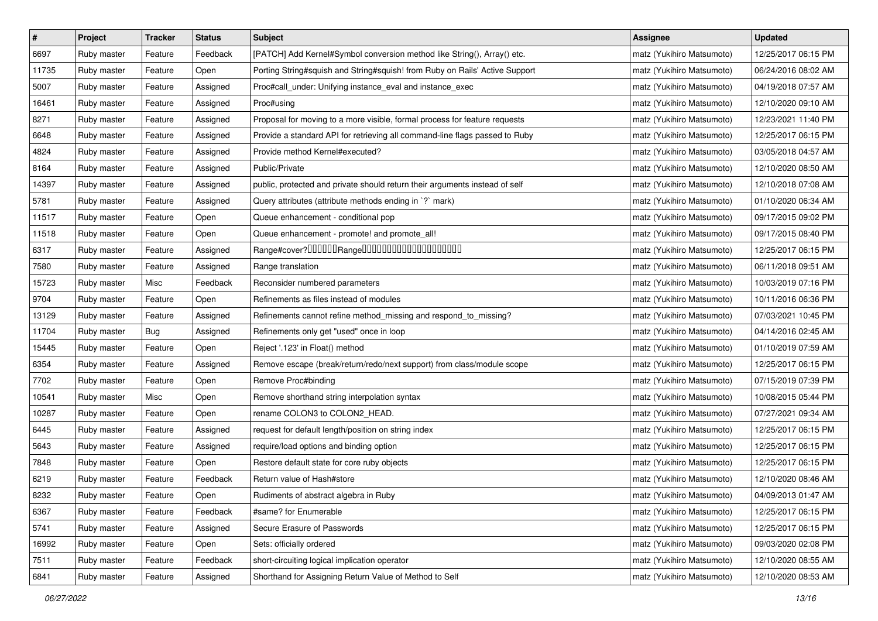| $\pmb{\#}$ | Project     | <b>Tracker</b> | <b>Status</b> | <b>Subject</b>                                                              | Assignee                  | <b>Updated</b>      |
|------------|-------------|----------------|---------------|-----------------------------------------------------------------------------|---------------------------|---------------------|
| 6697       | Ruby master | Feature        | Feedback      | [PATCH] Add Kernel#Symbol conversion method like String(), Array() etc.     | matz (Yukihiro Matsumoto) | 12/25/2017 06:15 PM |
| 11735      | Ruby master | Feature        | Open          | Porting String#squish and String#squish! from Ruby on Rails' Active Support | matz (Yukihiro Matsumoto) | 06/24/2016 08:02 AM |
| 5007       | Ruby master | Feature        | Assigned      | Proc#call_under: Unifying instance_eval and instance_exec                   | matz (Yukihiro Matsumoto) | 04/19/2018 07:57 AM |
| 16461      | Ruby master | Feature        | Assigned      | Proc#using                                                                  | matz (Yukihiro Matsumoto) | 12/10/2020 09:10 AM |
| 8271       | Ruby master | Feature        | Assigned      | Proposal for moving to a more visible, formal process for feature requests  | matz (Yukihiro Matsumoto) | 12/23/2021 11:40 PM |
| 6648       | Ruby master | Feature        | Assigned      | Provide a standard API for retrieving all command-line flags passed to Ruby | matz (Yukihiro Matsumoto) | 12/25/2017 06:15 PM |
| 4824       | Ruby master | Feature        | Assigned      | Provide method Kernel#executed?                                             | matz (Yukihiro Matsumoto) | 03/05/2018 04:57 AM |
| 8164       | Ruby master | Feature        | Assigned      | Public/Private                                                              | matz (Yukihiro Matsumoto) | 12/10/2020 08:50 AM |
| 14397      | Ruby master | Feature        | Assigned      | public, protected and private should return their arguments instead of self | matz (Yukihiro Matsumoto) | 12/10/2018 07:08 AM |
| 5781       | Ruby master | Feature        | Assigned      | Query attributes (attribute methods ending in `?` mark)                     | matz (Yukihiro Matsumoto) | 01/10/2020 06:34 AM |
| 11517      | Ruby master | Feature        | Open          | Queue enhancement - conditional pop                                         | matz (Yukihiro Matsumoto) | 09/17/2015 09:02 PM |
| 11518      | Ruby master | Feature        | Open          | Queue enhancement - promote! and promote_all!                               | matz (Yukihiro Matsumoto) | 09/17/2015 08:40 PM |
| 6317       | Ruby master | Feature        | Assigned      | Range#cover?000000Range00000000000000000000                                 | matz (Yukihiro Matsumoto) | 12/25/2017 06:15 PM |
| 7580       | Ruby master | Feature        | Assigned      | Range translation                                                           | matz (Yukihiro Matsumoto) | 06/11/2018 09:51 AM |
| 15723      | Ruby master | Misc           | Feedback      | Reconsider numbered parameters                                              | matz (Yukihiro Matsumoto) | 10/03/2019 07:16 PM |
| 9704       | Ruby master | Feature        | Open          | Refinements as files instead of modules                                     | matz (Yukihiro Matsumoto) | 10/11/2016 06:36 PM |
| 13129      | Ruby master | Feature        | Assigned      | Refinements cannot refine method_missing and respond_to_missing?            | matz (Yukihiro Matsumoto) | 07/03/2021 10:45 PM |
| 11704      | Ruby master | Bug            | Assigned      | Refinements only get "used" once in loop                                    | matz (Yukihiro Matsumoto) | 04/14/2016 02:45 AM |
| 15445      | Ruby master | Feature        | Open          | Reject '.123' in Float() method                                             | matz (Yukihiro Matsumoto) | 01/10/2019 07:59 AM |
| 6354       | Ruby master | Feature        | Assigned      | Remove escape (break/return/redo/next support) from class/module scope      | matz (Yukihiro Matsumoto) | 12/25/2017 06:15 PM |
| 7702       | Ruby master | Feature        | Open          | Remove Proc#binding                                                         | matz (Yukihiro Matsumoto) | 07/15/2019 07:39 PM |
| 10541      | Ruby master | Misc           | Open          | Remove shorthand string interpolation syntax                                | matz (Yukihiro Matsumoto) | 10/08/2015 05:44 PM |
| 10287      | Ruby master | Feature        | Open          | rename COLON3 to COLON2_HEAD.                                               | matz (Yukihiro Matsumoto) | 07/27/2021 09:34 AM |
| 6445       | Ruby master | Feature        | Assigned      | request for default length/position on string index                         | matz (Yukihiro Matsumoto) | 12/25/2017 06:15 PM |
| 5643       | Ruby master | Feature        | Assigned      | require/load options and binding option                                     | matz (Yukihiro Matsumoto) | 12/25/2017 06:15 PM |
| 7848       | Ruby master | Feature        | Open          | Restore default state for core ruby objects                                 | matz (Yukihiro Matsumoto) | 12/25/2017 06:15 PM |
| 6219       | Ruby master | Feature        | Feedback      | Return value of Hash#store                                                  | matz (Yukihiro Matsumoto) | 12/10/2020 08:46 AM |
| 8232       | Ruby master | Feature        | Open          | Rudiments of abstract algebra in Ruby                                       | matz (Yukihiro Matsumoto) | 04/09/2013 01:47 AM |
| 6367       | Ruby master | Feature        | Feedback      | #same? for Enumerable                                                       | matz (Yukihiro Matsumoto) | 12/25/2017 06:15 PM |
| 5741       | Ruby master | Feature        | Assigned      | Secure Erasure of Passwords                                                 | matz (Yukihiro Matsumoto) | 12/25/2017 06:15 PM |
| 16992      | Ruby master | Feature        | Open          | Sets: officially ordered                                                    | matz (Yukihiro Matsumoto) | 09/03/2020 02:08 PM |
| 7511       | Ruby master | Feature        | Feedback      | short-circuiting logical implication operator                               | matz (Yukihiro Matsumoto) | 12/10/2020 08:55 AM |
| 6841       | Ruby master | Feature        | Assigned      | Shorthand for Assigning Return Value of Method to Self                      | matz (Yukihiro Matsumoto) | 12/10/2020 08:53 AM |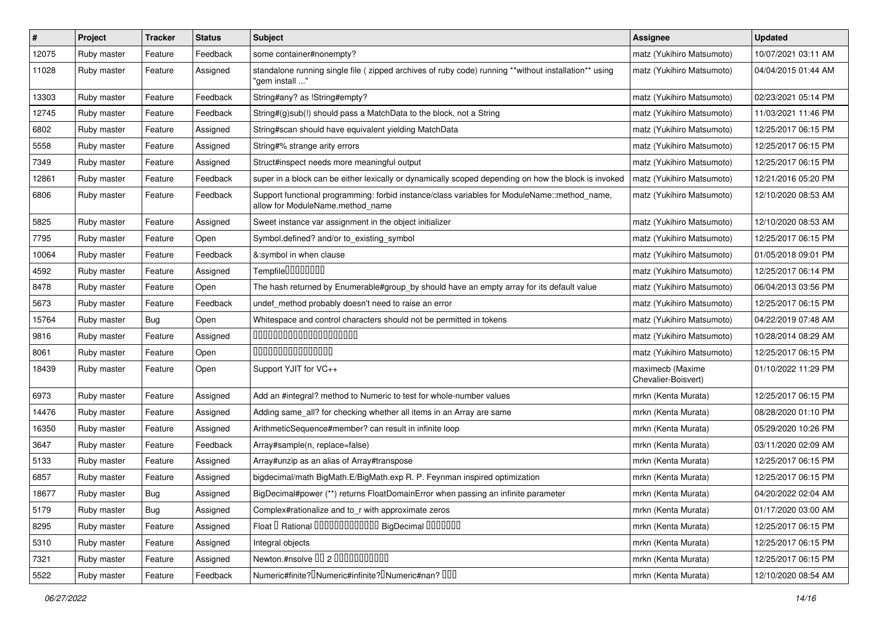| $\#$  | Project     | <b>Tracker</b> | <b>Status</b> | Subject                                                                                                                          | Assignee                                | <b>Updated</b>      |
|-------|-------------|----------------|---------------|----------------------------------------------------------------------------------------------------------------------------------|-----------------------------------------|---------------------|
| 12075 | Ruby master | Feature        | Feedback      | some container#nonempty?                                                                                                         | matz (Yukihiro Matsumoto)               | 10/07/2021 03:11 AM |
| 11028 | Ruby master | Feature        | Assigned      | standalone running single file ( zipped archives of ruby code) running **without installation** using<br>" 'aem install          | matz (Yukihiro Matsumoto)               | 04/04/2015 01:44 AM |
| 13303 | Ruby master | Feature        | Feedback      | String#any? as !String#empty?                                                                                                    | matz (Yukihiro Matsumoto)               | 02/23/2021 05:14 PM |
| 12745 | Ruby master | Feature        | Feedback      | String#(g)sub(!) should pass a MatchData to the block, not a String                                                              | matz (Yukihiro Matsumoto)               | 11/03/2021 11:46 PM |
| 6802  | Ruby master | Feature        | Assigned      | String#scan should have equivalent yielding MatchData                                                                            | matz (Yukihiro Matsumoto)               | 12/25/2017 06:15 PM |
| 5558  | Ruby master | Feature        | Assigned      | String#% strange arity errors                                                                                                    | matz (Yukihiro Matsumoto)               | 12/25/2017 06:15 PM |
| 7349  | Ruby master | Feature        | Assigned      | Struct#inspect needs more meaningful output                                                                                      | matz (Yukihiro Matsumoto)               | 12/25/2017 06:15 PM |
| 12861 | Ruby master | Feature        | Feedback      | super in a block can be either lexically or dynamically scoped depending on how the block is invoked                             | matz (Yukihiro Matsumoto)               | 12/21/2016 05:20 PM |
| 6806  | Ruby master | Feature        | Feedback      | Support functional programming: forbid instance/class variables for ModuleName::method_name,<br>allow for ModuleName.method name | matz (Yukihiro Matsumoto)               | 12/10/2020 08:53 AM |
| 5825  | Ruby master | Feature        | Assigned      | Sweet instance var assignment in the object initializer                                                                          | matz (Yukihiro Matsumoto)               | 12/10/2020 08:53 AM |
| 7795  | Ruby master | Feature        | Open          | Symbol.defined? and/or to_existing_symbol                                                                                        | matz (Yukihiro Matsumoto)               | 12/25/2017 06:15 PM |
| 10064 | Ruby master | Feature        | Feedback      | &:symbol in when clause                                                                                                          | matz (Yukihiro Matsumoto)               | 01/05/2018 09:01 PM |
| 4592  | Ruby master | Feature        | Assigned      | Tempfile0000000                                                                                                                  | matz (Yukihiro Matsumoto)               | 12/25/2017 06:14 PM |
| 8478  | Ruby master | Feature        | Open          | The hash returned by Enumerable#group_by should have an empty array for its default value                                        | matz (Yukihiro Matsumoto)               | 06/04/2013 03:56 PM |
| 5673  | Ruby master | Feature        | Feedback      | undef_method probably doesn't need to raise an error                                                                             | matz (Yukihiro Matsumoto)               | 12/25/2017 06:15 PM |
| 15764 | Ruby master | Bug            | Open          | Whitespace and control characters should not be permitted in tokens                                                              | matz (Yukihiro Matsumoto)               | 04/22/2019 07:48 AM |
| 9816  | Ruby master | Feature        | Assigned      | 00000000000000000000                                                                                                             | matz (Yukihiro Matsumoto)               | 10/28/2014 08:29 AM |
| 8061  | Ruby master | Feature        | Open          | 000000000000000                                                                                                                  | matz (Yukihiro Matsumoto)               | 12/25/2017 06:15 PM |
| 18439 | Ruby master | Feature        | Open          | Support YJIT for VC++                                                                                                            | maximecb (Maxime<br>Chevalier-Boisvert) | 01/10/2022 11:29 PM |
| 6973  | Ruby master | Feature        | Assigned      | Add an #integral? method to Numeric to test for whole-number values                                                              | mrkn (Kenta Murata)                     | 12/25/2017 06:15 PM |
| 14476 | Ruby master | Feature        | Assigned      | Adding same_all? for checking whether all items in an Array are same                                                             | mrkn (Kenta Murata)                     | 08/28/2020 01:10 PM |
| 16350 | Ruby master | Feature        | Assigned      | ArithmeticSequence#member? can result in infinite loop                                                                           | mrkn (Kenta Murata)                     | 05/29/2020 10:26 PM |
| 3647  | Ruby master | Feature        | Feedback      | Array#sample(n, replace=false)                                                                                                   | mrkn (Kenta Murata)                     | 03/11/2020 02:09 AM |
| 5133  | Ruby master | Feature        | Assigned      | Array#unzip as an alias of Array#transpose                                                                                       | mrkn (Kenta Murata)                     | 12/25/2017 06:15 PM |
| 6857  | Ruby master | Feature        | Assigned      | bigdecimal/math BigMath.E/BigMath.exp R. P. Feynman inspired optimization                                                        | mrkn (Kenta Murata)                     | 12/25/2017 06:15 PM |
| 18677 | Ruby master | Bug            | Assigned      | BigDecimal#power (**) returns FloatDomainError when passing an infinite parameter                                                | mrkn (Kenta Murata)                     | 04/20/2022 02:04 AM |
| 5179  | Ruby master | Bug            | Assigned      | Complex#rationalize and to_r with approximate zeros                                                                              | mrkn (Kenta Murata)                     | 01/17/2020 03:00 AM |
| 8295  | Ruby master | Feature        | Assigned      | Float I Rational 0000000000000 BigDecimal 0000000                                                                                | mrkn (Kenta Murata)                     | 12/25/2017 06:15 PM |
| 5310  | Ruby master | Feature        | Assigned      | Integral objects                                                                                                                 | mrkn (Kenta Murata)                     | 12/25/2017 06:15 PM |
| 7321  | Ruby master | Feature        | Assigned      | Newton.#nsolve 00 2 0000000000                                                                                                   | mrkn (Kenta Murata)                     | 12/25/2017 06:15 PM |
| 5522  | Ruby master | Feature        | Feedback      | Numeric#finite? Numeric#infinite? INumeric#nan? IIII                                                                             | mrkn (Kenta Murata)                     | 12/10/2020 08:54 AM |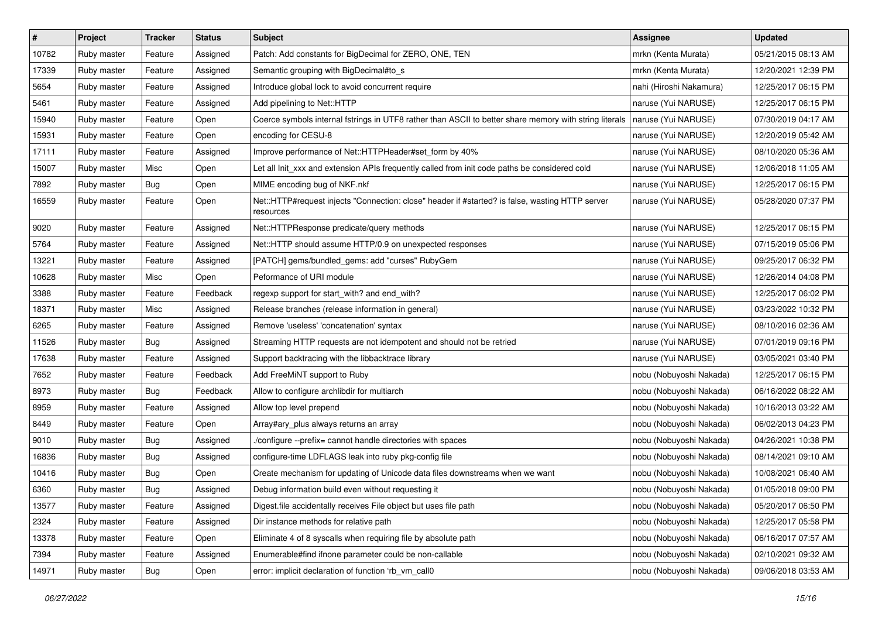| $\pmb{\#}$ | Project     | <b>Tracker</b> | <b>Status</b> | Subject                                                                                                      | <b>Assignee</b>         | <b>Updated</b>      |
|------------|-------------|----------------|---------------|--------------------------------------------------------------------------------------------------------------|-------------------------|---------------------|
| 10782      | Ruby master | Feature        | Assigned      | Patch: Add constants for BigDecimal for ZERO, ONE, TEN                                                       | mrkn (Kenta Murata)     | 05/21/2015 08:13 AM |
| 17339      | Ruby master | Feature        | Assigned      | Semantic grouping with BigDecimal#to_s                                                                       | mrkn (Kenta Murata)     | 12/20/2021 12:39 PM |
| 5654       | Ruby master | Feature        | Assigned      | Introduce global lock to avoid concurrent require                                                            | nahi (Hiroshi Nakamura) | 12/25/2017 06:15 PM |
| 5461       | Ruby master | Feature        | Assigned      | Add pipelining to Net::HTTP                                                                                  | naruse (Yui NARUSE)     | 12/25/2017 06:15 PM |
| 15940      | Ruby master | Feature        | Open          | Coerce symbols internal fstrings in UTF8 rather than ASCII to better share memory with string literals       | naruse (Yui NARUSE)     | 07/30/2019 04:17 AM |
| 15931      | Ruby master | Feature        | Open          | encoding for CESU-8                                                                                          | naruse (Yui NARUSE)     | 12/20/2019 05:42 AM |
| 17111      | Ruby master | Feature        | Assigned      | Improve performance of Net::HTTPHeader#set_form by 40%                                                       | naruse (Yui NARUSE)     | 08/10/2020 05:36 AM |
| 15007      | Ruby master | Misc           | Open          | Let all Init xxx and extension APIs frequently called from init code paths be considered cold                | naruse (Yui NARUSE)     | 12/06/2018 11:05 AM |
| 7892       | Ruby master | <b>Bug</b>     | Open          | MIME encoding bug of NKF.nkf                                                                                 | naruse (Yui NARUSE)     | 12/25/2017 06:15 PM |
| 16559      | Ruby master | Feature        | Open          | Net::HTTP#request injects "Connection: close" header if #started? is false, wasting HTTP server<br>resources | naruse (Yui NARUSE)     | 05/28/2020 07:37 PM |
| 9020       | Ruby master | Feature        | Assigned      | Net::HTTPResponse predicate/query methods                                                                    | naruse (Yui NARUSE)     | 12/25/2017 06:15 PM |
| 5764       | Ruby master | Feature        | Assigned      | Net::HTTP should assume HTTP/0.9 on unexpected responses                                                     | naruse (Yui NARUSE)     | 07/15/2019 05:06 PM |
| 13221      | Ruby master | Feature        | Assigned      | [PATCH] gems/bundled_gems: add "curses" RubyGem                                                              | naruse (Yui NARUSE)     | 09/25/2017 06:32 PM |
| 10628      | Ruby master | Misc           | Open          | Peformance of URI module                                                                                     | naruse (Yui NARUSE)     | 12/26/2014 04:08 PM |
| 3388       | Ruby master | Feature        | Feedback      | regexp support for start_with? and end_with?                                                                 | naruse (Yui NARUSE)     | 12/25/2017 06:02 PM |
| 18371      | Ruby master | Misc           | Assigned      | Release branches (release information in general)                                                            | naruse (Yui NARUSE)     | 03/23/2022 10:32 PM |
| 6265       | Ruby master | Feature        | Assigned      | Remove 'useless' 'concatenation' syntax                                                                      | naruse (Yui NARUSE)     | 08/10/2016 02:36 AM |
| 11526      | Ruby master | <b>Bug</b>     | Assigned      | Streaming HTTP requests are not idempotent and should not be retried                                         | naruse (Yui NARUSE)     | 07/01/2019 09:16 PM |
| 17638      | Ruby master | Feature        | Assigned      | Support backtracing with the libbacktrace library                                                            | naruse (Yui NARUSE)     | 03/05/2021 03:40 PM |
| 7652       | Ruby master | Feature        | Feedback      | Add FreeMiNT support to Ruby                                                                                 | nobu (Nobuyoshi Nakada) | 12/25/2017 06:15 PM |
| 8973       | Ruby master | <b>Bug</b>     | Feedback      | Allow to configure archlibdir for multiarch                                                                  | nobu (Nobuyoshi Nakada) | 06/16/2022 08:22 AM |
| 8959       | Ruby master | Feature        | Assigned      | Allow top level prepend                                                                                      | nobu (Nobuyoshi Nakada) | 10/16/2013 03:22 AM |
| 8449       | Ruby master | Feature        | Open          | Array#ary_plus always returns an array                                                                       | nobu (Nobuyoshi Nakada) | 06/02/2013 04:23 PM |
| 9010       | Ruby master | Bug            | Assigned      | /configure --prefix= cannot handle directories with spaces                                                   | nobu (Nobuyoshi Nakada) | 04/26/2021 10:38 PM |
| 16836      | Ruby master | Bug            | Assigned      | configure-time LDFLAGS leak into ruby pkg-config file                                                        | nobu (Nobuyoshi Nakada) | 08/14/2021 09:10 AM |
| 10416      | Ruby master | <b>Bug</b>     | Open          | Create mechanism for updating of Unicode data files downstreams when we want                                 | nobu (Nobuyoshi Nakada) | 10/08/2021 06:40 AM |
| 6360       | Ruby master | <b>Bug</b>     | Assigned      | Debug information build even without requesting it                                                           | nobu (Nobuyoshi Nakada) | 01/05/2018 09:00 PM |
| 13577      | Ruby master | Feature        | Assigned      | Digest file accidentally receives File object but uses file path                                             | nobu (Nobuyoshi Nakada) | 05/20/2017 06:50 PM |
| 2324       | Ruby master | Feature        | Assigned      | Dir instance methods for relative path                                                                       | nobu (Nobuyoshi Nakada) | 12/25/2017 05:58 PM |
| 13378      | Ruby master | Feature        | Open          | Eliminate 4 of 8 syscalls when requiring file by absolute path                                               | nobu (Nobuyoshi Nakada) | 06/16/2017 07:57 AM |
| 7394       | Ruby master | Feature        | Assigned      | Enumerable#find ifnone parameter could be non-callable                                                       | nobu (Nobuyoshi Nakada) | 02/10/2021 09:32 AM |
| 14971      | Ruby master | <b>Bug</b>     | Open          | error: implicit declaration of function 'rb_vm_call0                                                         | nobu (Nobuyoshi Nakada) | 09/06/2018 03:53 AM |